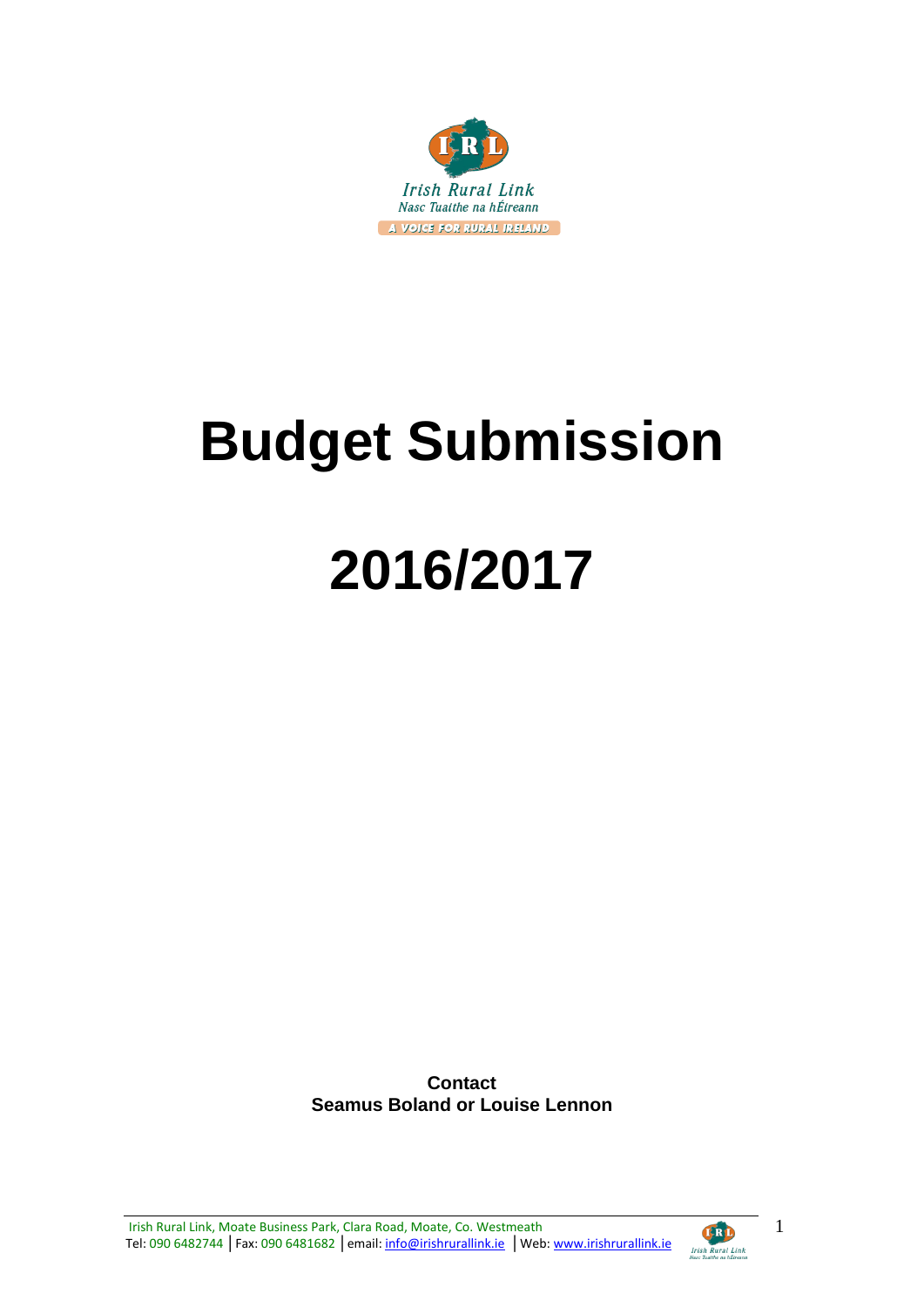

# **Budget Submission**

# **2016/2017**

**Contact Seamus Boland or Louise Lennon**

Irish Rural Link, Moate Business Park, Clara Road, Moate, Co. Westmeath Tel: 090 6482744 | Fax: 090 6481682 | email: info@irishrurallink.ie | Web: www.irishrurallink.ie

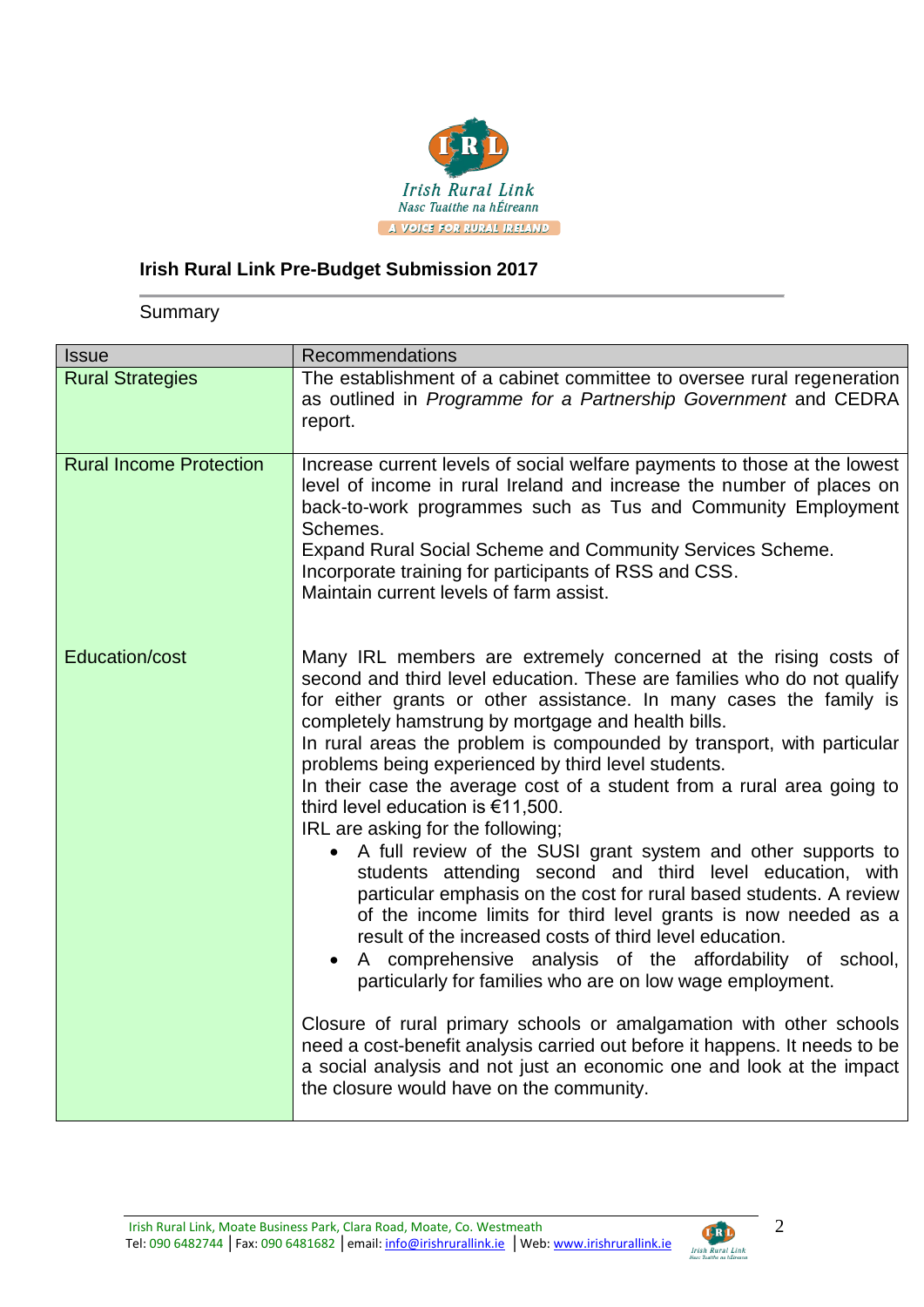

# **Irish Rural Link Pre-Budget Submission 2017**

**Summary** 

| <b>Issue</b>                   | <b>Recommendations</b>                                                                                                                                                                                                                                                                                                                                                                                                                                                                                                                                                                                                                                                                                                                                                                                                                                                                                                                                                                                                                                                                                                                                                                                                                                                                                        |
|--------------------------------|---------------------------------------------------------------------------------------------------------------------------------------------------------------------------------------------------------------------------------------------------------------------------------------------------------------------------------------------------------------------------------------------------------------------------------------------------------------------------------------------------------------------------------------------------------------------------------------------------------------------------------------------------------------------------------------------------------------------------------------------------------------------------------------------------------------------------------------------------------------------------------------------------------------------------------------------------------------------------------------------------------------------------------------------------------------------------------------------------------------------------------------------------------------------------------------------------------------------------------------------------------------------------------------------------------------|
| <b>Rural Strategies</b>        | The establishment of a cabinet committee to oversee rural regeneration<br>as outlined in Programme for a Partnership Government and CEDRA<br>report.                                                                                                                                                                                                                                                                                                                                                                                                                                                                                                                                                                                                                                                                                                                                                                                                                                                                                                                                                                                                                                                                                                                                                          |
| <b>Rural Income Protection</b> | Increase current levels of social welfare payments to those at the lowest<br>level of income in rural Ireland and increase the number of places on<br>back-to-work programmes such as Tus and Community Employment<br>Schemes.<br><b>Expand Rural Social Scheme and Community Services Scheme.</b><br>Incorporate training for participants of RSS and CSS.<br>Maintain current levels of farm assist.                                                                                                                                                                                                                                                                                                                                                                                                                                                                                                                                                                                                                                                                                                                                                                                                                                                                                                        |
| <b>Education/cost</b>          | Many IRL members are extremely concerned at the rising costs of<br>second and third level education. These are families who do not qualify<br>for either grants or other assistance. In many cases the family is<br>completely hamstrung by mortgage and health bills.<br>In rural areas the problem is compounded by transport, with particular<br>problems being experienced by third level students.<br>In their case the average cost of a student from a rural area going to<br>third level education is €11,500.<br>IRL are asking for the following;<br>• A full review of the SUSI grant system and other supports to<br>students attending second and third level education, with<br>particular emphasis on the cost for rural based students. A review<br>of the income limits for third level grants is now needed as a<br>result of the increased costs of third level education.<br>A comprehensive analysis of the affordability of school,<br>$\bullet$<br>particularly for families who are on low wage employment.<br>Closure of rural primary schools or amalgamation with other schools<br>need a cost-benefit analysis carried out before it happens. It needs to be<br>a social analysis and not just an economic one and look at the impact<br>the closure would have on the community. |

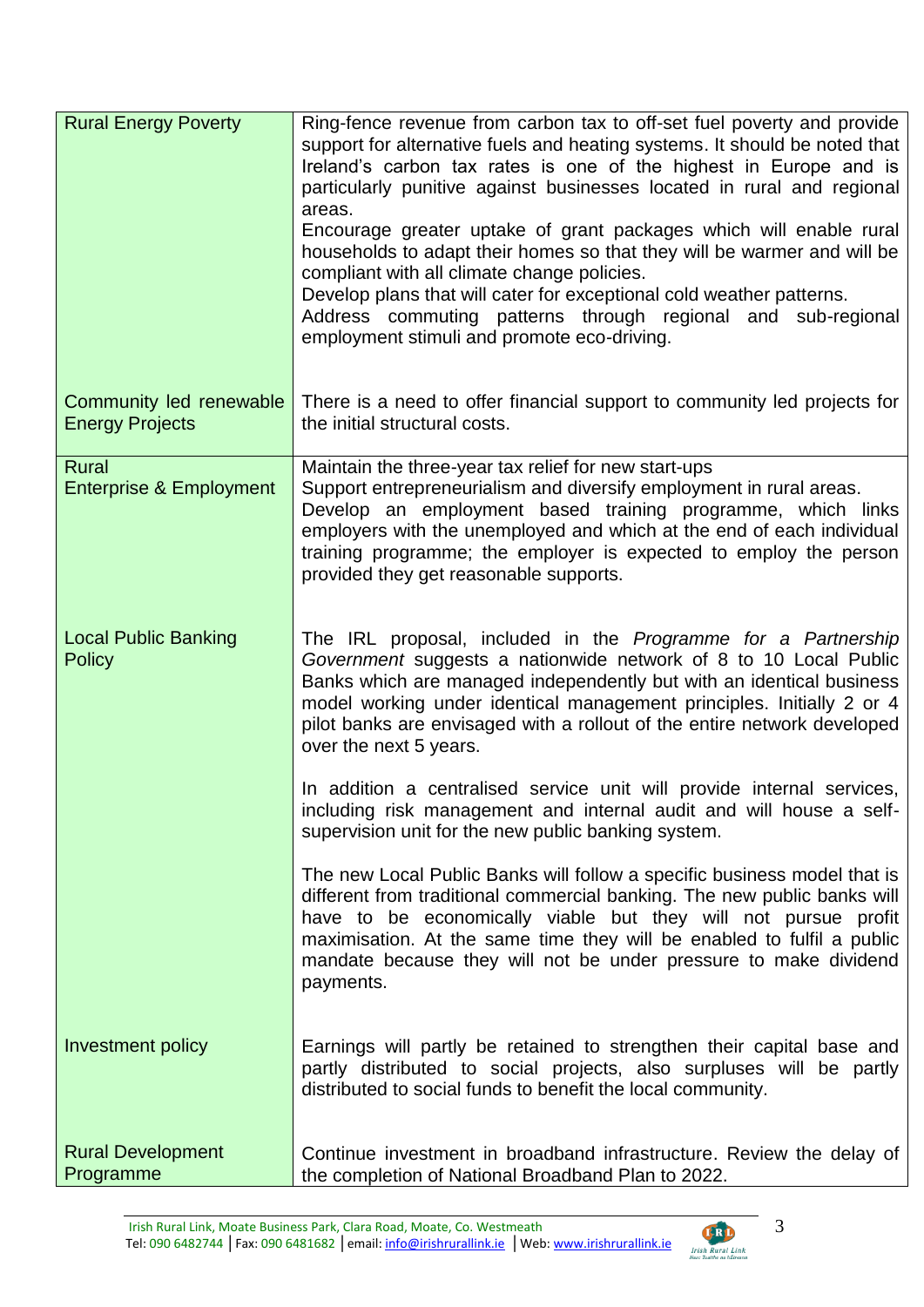| <b>Rural Energy Poverty</b>                       | Ring-fence revenue from carbon tax to off-set fuel poverty and provide<br>support for alternative fuels and heating systems. It should be noted that<br>Ireland's carbon tax rates is one of the highest in Europe and is<br>particularly punitive against businesses located in rural and regional<br>areas.<br>Encourage greater uptake of grant packages which will enable rural<br>households to adapt their homes so that they will be warmer and will be<br>compliant with all climate change policies.<br>Develop plans that will cater for exceptional cold weather patterns.<br>Address commuting patterns through regional and sub-regional<br>employment stimuli and promote eco-driving. |
|---------------------------------------------------|------------------------------------------------------------------------------------------------------------------------------------------------------------------------------------------------------------------------------------------------------------------------------------------------------------------------------------------------------------------------------------------------------------------------------------------------------------------------------------------------------------------------------------------------------------------------------------------------------------------------------------------------------------------------------------------------------|
| Community led renewable<br><b>Energy Projects</b> | There is a need to offer financial support to community led projects for<br>the initial structural costs.                                                                                                                                                                                                                                                                                                                                                                                                                                                                                                                                                                                            |
| Rural<br><b>Enterprise &amp; Employment</b>       | Maintain the three-year tax relief for new start-ups<br>Support entrepreneurialism and diversify employment in rural areas.<br>Develop an employment based training programme, which links<br>employers with the unemployed and which at the end of each individual<br>training programme; the employer is expected to employ the person<br>provided they get reasonable supports.                                                                                                                                                                                                                                                                                                                   |
| <b>Local Public Banking</b><br><b>Policy</b>      | The IRL proposal, included in the Programme for a Partnership<br>Government suggests a nationwide network of 8 to 10 Local Public<br>Banks which are managed independently but with an identical business<br>model working under identical management principles. Initially 2 or 4<br>pilot banks are envisaged with a rollout of the entire network developed<br>over the next 5 years.                                                                                                                                                                                                                                                                                                             |
|                                                   | In addition a centralised service unit will provide internal services,<br>including risk management and internal audit and will house a self-<br>supervision unit for the new public banking system.                                                                                                                                                                                                                                                                                                                                                                                                                                                                                                 |
|                                                   | The new Local Public Banks will follow a specific business model that is<br>different from traditional commercial banking. The new public banks will<br>have to be economically viable but they will not pursue profit<br>maximisation. At the same time they will be enabled to fulfil a public<br>mandate because they will not be under pressure to make dividend<br>payments.                                                                                                                                                                                                                                                                                                                    |
| Investment policy                                 | Earnings will partly be retained to strengthen their capital base and<br>partly distributed to social projects, also surpluses will be partly<br>distributed to social funds to benefit the local community.                                                                                                                                                                                                                                                                                                                                                                                                                                                                                         |
| <b>Rural Development</b><br>Programme             | Continue investment in broadband infrastructure. Review the delay of<br>the completion of National Broadband Plan to 2022.                                                                                                                                                                                                                                                                                                                                                                                                                                                                                                                                                                           |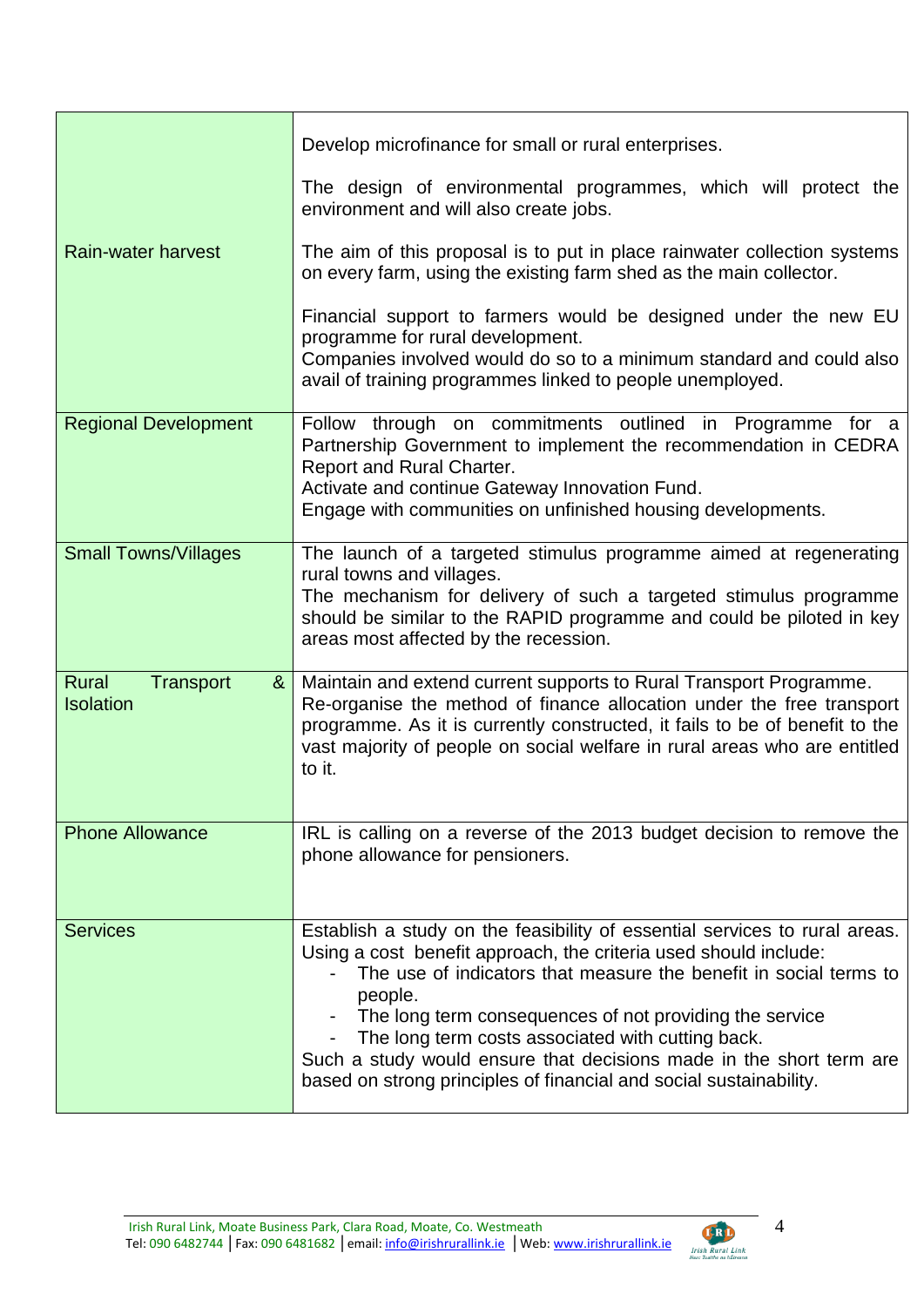|                                                    | Develop microfinance for small or rural enterprises.                                                                                                                                                                                                                                                                                                                                                                                                                                        |
|----------------------------------------------------|---------------------------------------------------------------------------------------------------------------------------------------------------------------------------------------------------------------------------------------------------------------------------------------------------------------------------------------------------------------------------------------------------------------------------------------------------------------------------------------------|
|                                                    | The design of environmental programmes, which will protect the<br>environment and will also create jobs.                                                                                                                                                                                                                                                                                                                                                                                    |
| Rain-water harvest                                 | The aim of this proposal is to put in place rainwater collection systems<br>on every farm, using the existing farm shed as the main collector.                                                                                                                                                                                                                                                                                                                                              |
|                                                    | Financial support to farmers would be designed under the new EU<br>programme for rural development.<br>Companies involved would do so to a minimum standard and could also<br>avail of training programmes linked to people unemployed.                                                                                                                                                                                                                                                     |
| <b>Regional Development</b>                        | Follow through on commitments outlined in Programme for a<br>Partnership Government to implement the recommendation in CEDRA<br>Report and Rural Charter.<br>Activate and continue Gateway Innovation Fund.<br>Engage with communities on unfinished housing developments.                                                                                                                                                                                                                  |
| <b>Small Towns/Villages</b>                        | The launch of a targeted stimulus programme aimed at regenerating<br>rural towns and villages.<br>The mechanism for delivery of such a targeted stimulus programme<br>should be similar to the RAPID programme and could be piloted in key<br>areas most affected by the recession.                                                                                                                                                                                                         |
| <b>Rural</b><br>Transport<br>&<br><b>Isolation</b> | Maintain and extend current supports to Rural Transport Programme.<br>Re-organise the method of finance allocation under the free transport<br>programme. As it is currently constructed, it fails to be of benefit to the<br>vast majority of people on social welfare in rural areas who are entitled<br>to it.                                                                                                                                                                           |
| <b>Phone Allowance</b>                             | IRL is calling on a reverse of the 2013 budget decision to remove the<br>phone allowance for pensioners.                                                                                                                                                                                                                                                                                                                                                                                    |
| <b>Services</b>                                    | Establish a study on the feasibility of essential services to rural areas.<br>Using a cost benefit approach, the criteria used should include:<br>The use of indicators that measure the benefit in social terms to<br>people.<br>The long term consequences of not providing the service<br>The long term costs associated with cutting back.<br>Such a study would ensure that decisions made in the short term are<br>based on strong principles of financial and social sustainability. |

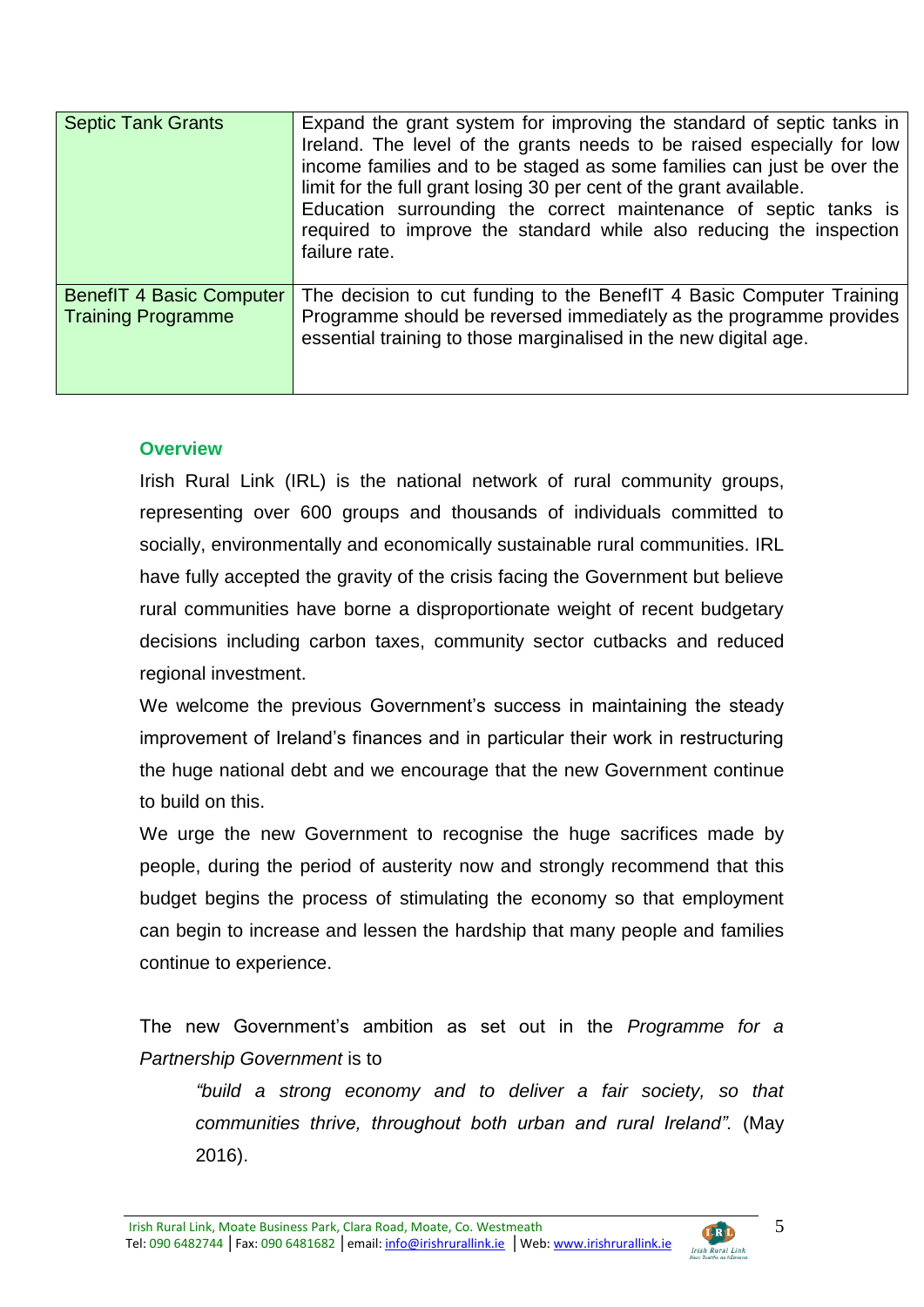| <b>Septic Tank Grants</b>                                    | Expand the grant system for improving the standard of septic tanks in<br>Ireland. The level of the grants needs to be raised especially for low<br>income families and to be staged as some families can just be over the<br>limit for the full grant losing 30 per cent of the grant available.<br>Education surrounding the correct maintenance of septic tanks is<br>required to improve the standard while also reducing the inspection<br>failure rate. |
|--------------------------------------------------------------|--------------------------------------------------------------------------------------------------------------------------------------------------------------------------------------------------------------------------------------------------------------------------------------------------------------------------------------------------------------------------------------------------------------------------------------------------------------|
| <b>BenefIT 4 Basic Computer</b><br><b>Training Programme</b> | The decision to cut funding to the Benef T 4 Basic Computer Training<br>Programme should be reversed immediately as the programme provides<br>essential training to those marginalised in the new digital age.                                                                                                                                                                                                                                               |

#### **Overview**

Irish Rural Link (IRL) is the national network of rural community groups, representing over 600 groups and thousands of individuals committed to socially, environmentally and economically sustainable rural communities. IRL have fully accepted the gravity of the crisis facing the Government but believe rural communities have borne a disproportionate weight of recent budgetary decisions including carbon taxes, community sector cutbacks and reduced regional investment.

We welcome the previous Government's success in maintaining the steady improvement of Ireland's finances and in particular their work in restructuring the huge national debt and we encourage that the new Government continue to build on this.

We urge the new Government to recognise the huge sacrifices made by people, during the period of austerity now and strongly recommend that this budget begins the process of stimulating the economy so that employment can begin to increase and lessen the hardship that many people and families continue to experience.

The new Government's ambition as set out in the *Programme for a Partnership Government* is to

*"build a strong economy and to deliver a fair society, so that communities thrive, throughout both urban and rural Ireland".* (May 2016).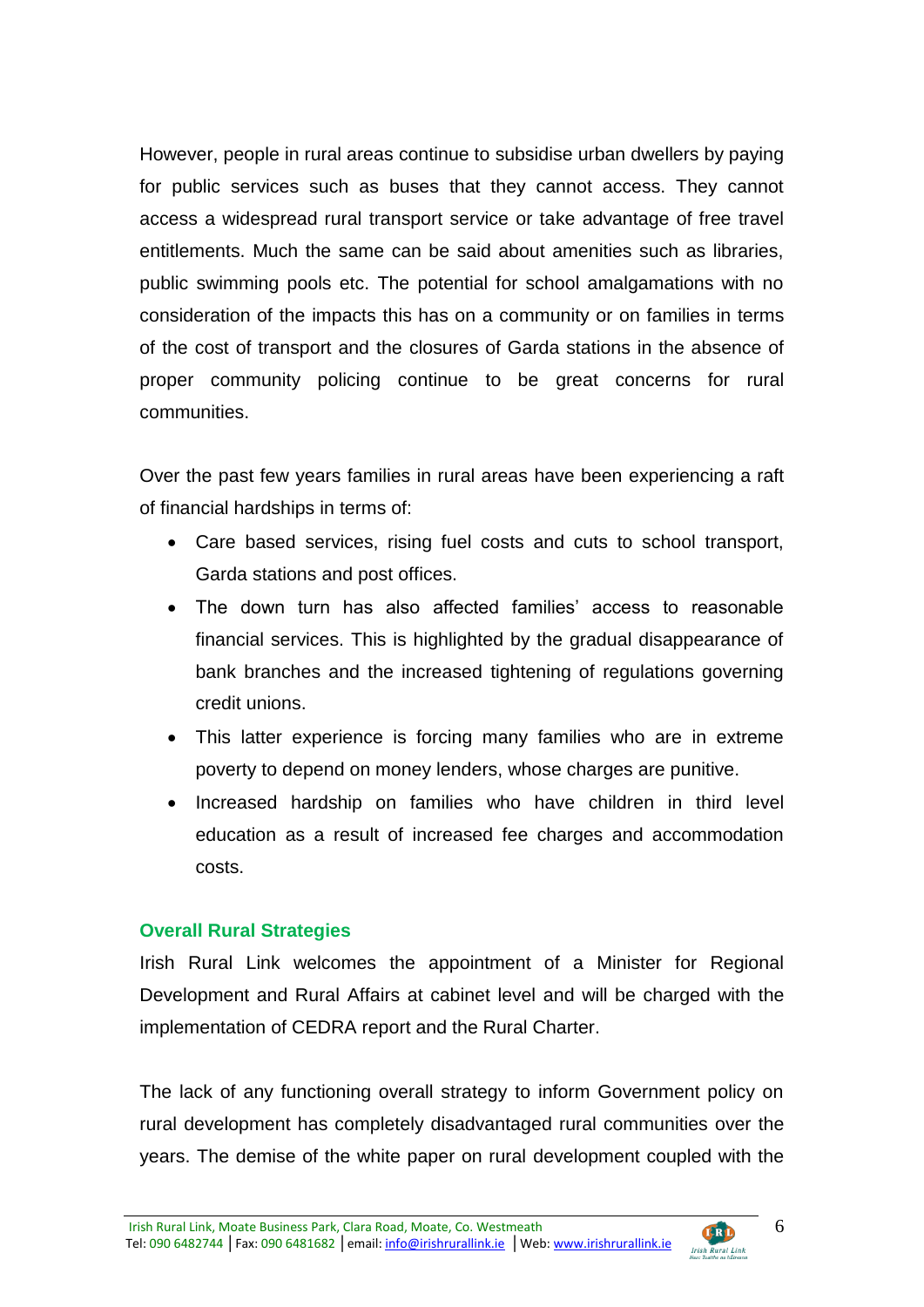However, people in rural areas continue to subsidise urban dwellers by paying for public services such as buses that they cannot access. They cannot access a widespread rural transport service or take advantage of free travel entitlements. Much the same can be said about amenities such as libraries, public swimming pools etc. The potential for school amalgamations with no consideration of the impacts this has on a community or on families in terms of the cost of transport and the closures of Garda stations in the absence of proper community policing continue to be great concerns for rural communities.

Over the past few years families in rural areas have been experiencing a raft of financial hardships in terms of:

- Care based services, rising fuel costs and cuts to school transport, Garda stations and post offices.
- The down turn has also affected families' access to reasonable financial services. This is highlighted by the gradual disappearance of bank branches and the increased tightening of regulations governing credit unions.
- This latter experience is forcing many families who are in extreme poverty to depend on money lenders, whose charges are punitive.
- Increased hardship on families who have children in third level education as a result of increased fee charges and accommodation costs.

#### **Overall Rural Strategies**

Irish Rural Link welcomes the appointment of a Minister for Regional Development and Rural Affairs at cabinet level and will be charged with the implementation of CEDRA report and the Rural Charter.

The lack of any functioning overall strategy to inform Government policy on rural development has completely disadvantaged rural communities over the years. The demise of the white paper on rural development coupled with the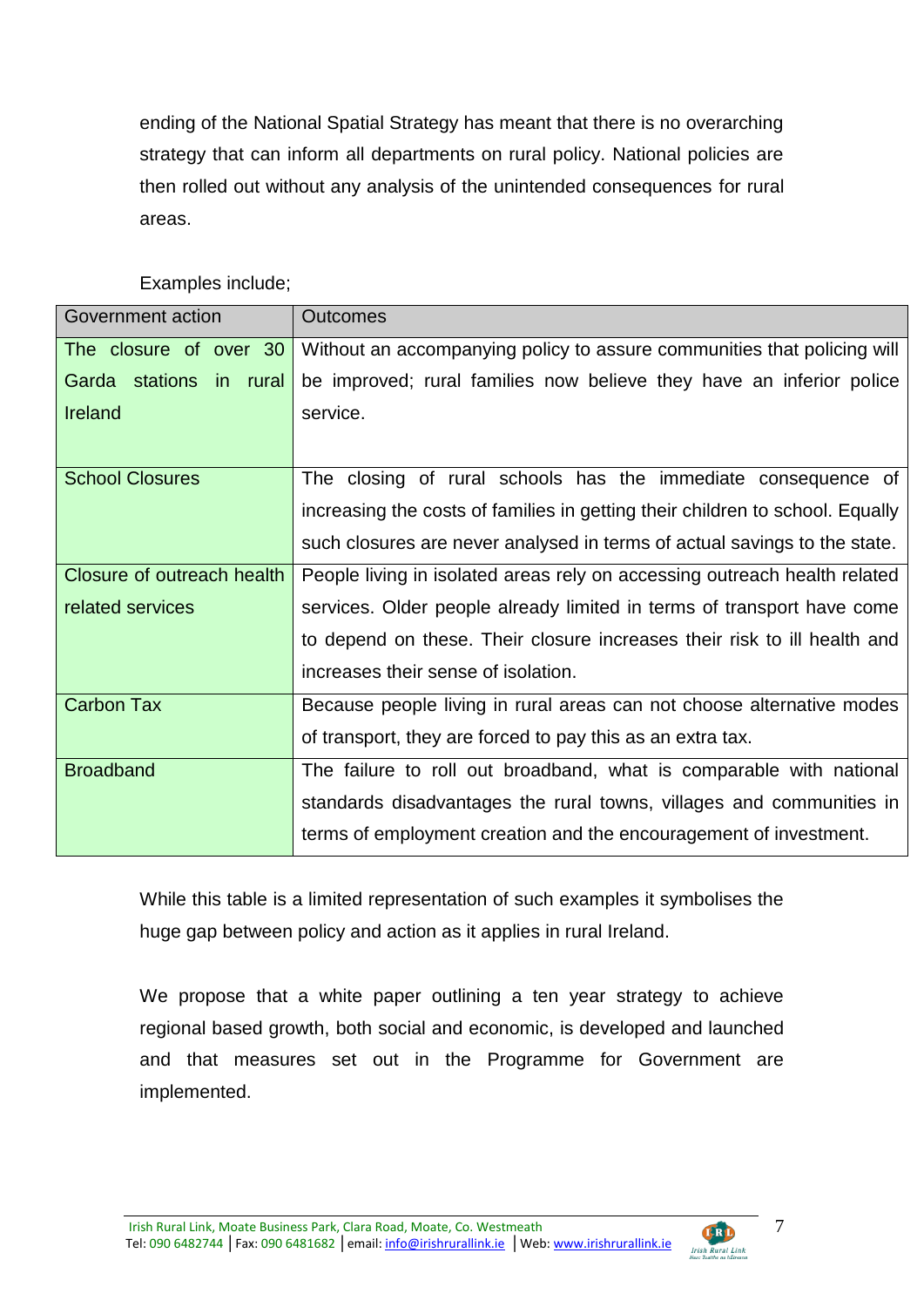ending of the National Spatial Strategy has meant that there is no overarching strategy that can inform all departments on rural policy. National policies are then rolled out without any analysis of the unintended consequences for rural areas.

| Government action          | <b>Outcomes</b>                                                               |  |
|----------------------------|-------------------------------------------------------------------------------|--|
| The closure of over 30     | Without an accompanying policy to assure communities that policing will       |  |
| Garda stations in rural    | be improved; rural families now believe they have an inferior police          |  |
| Ireland                    | service.                                                                      |  |
|                            |                                                                               |  |
| <b>School Closures</b>     | The closing of rural schools has the immediate consequence of                 |  |
|                            | increasing the costs of families in getting their children to school. Equally |  |
|                            | such closures are never analysed in terms of actual savings to the state.     |  |
| Closure of outreach health | People living in isolated areas rely on accessing outreach health related     |  |
| related services           | services. Older people already limited in terms of transport have come        |  |
|                            | to depend on these. Their closure increases their risk to ill health and      |  |
|                            | increases their sense of isolation.                                           |  |
| <b>Carbon Tax</b>          | Because people living in rural areas can not choose alternative modes         |  |
|                            | of transport, they are forced to pay this as an extra tax.                    |  |
| <b>Broadband</b>           | The failure to roll out broadband, what is comparable with national           |  |
|                            | standards disadvantages the rural towns, villages and communities in          |  |
|                            | terms of employment creation and the encouragement of investment.             |  |

Examples include;

While this table is a limited representation of such examples it symbolises the huge gap between policy and action as it applies in rural Ireland.

We propose that a white paper outlining a ten year strategy to achieve regional based growth, both social and economic, is developed and launched and that measures set out in the Programme for Government are implemented.

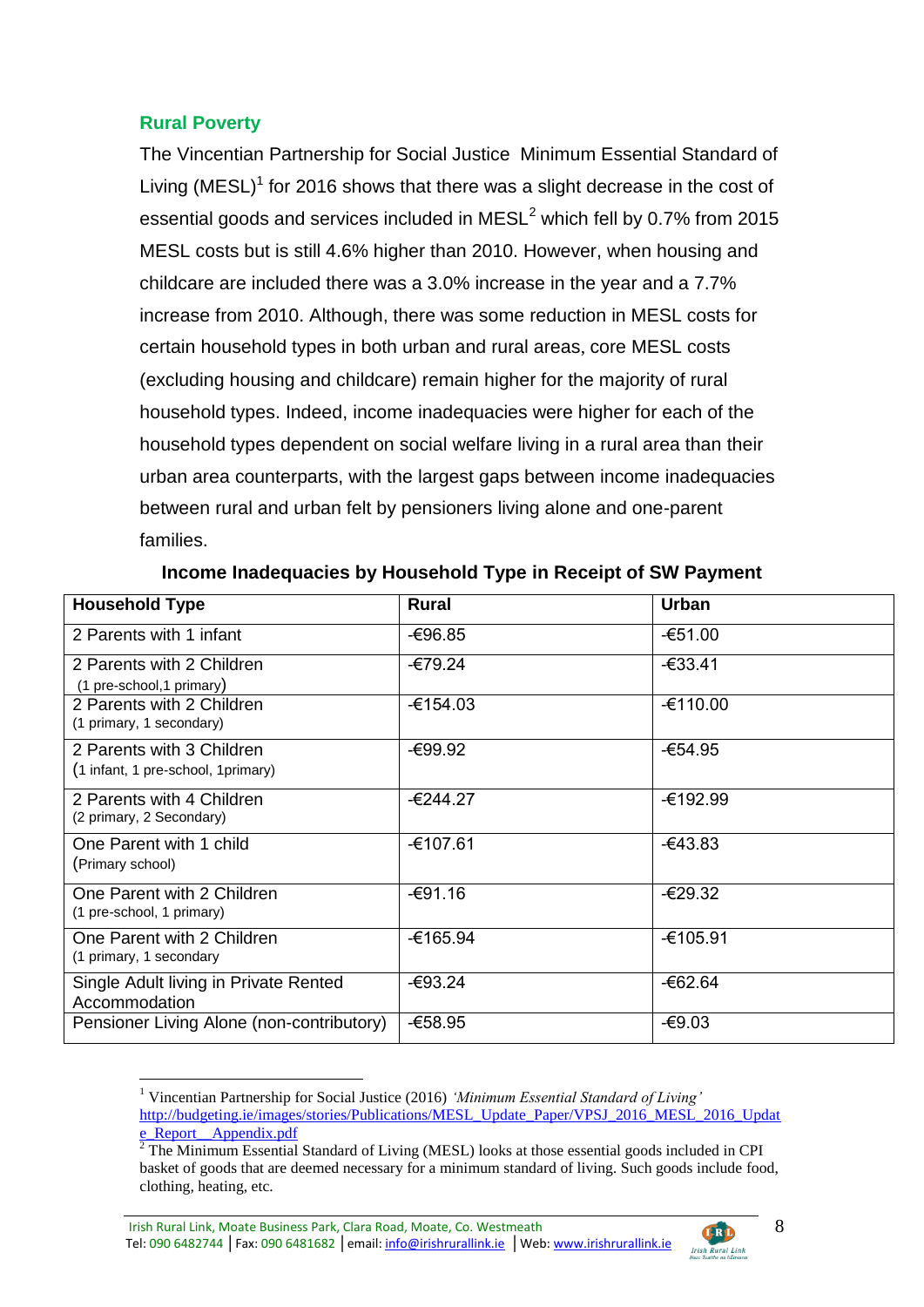# **Rural Poverty**

The Vincentian Partnership for Social Justice Minimum Essential Standard of Living (MESL)<sup>1</sup> for 2016 shows that there was a slight decrease in the cost of essential goods and services included in  $MESL<sup>2</sup>$  which fell by 0.7% from 2015 MESL costs but is still 4.6% higher than 2010. However, when housing and childcare are included there was a 3.0% increase in the year and a 7.7% increase from 2010. Although, there was some reduction in MESL costs for certain household types in both urban and rural areas, core MESL costs (excluding housing and childcare) remain higher for the majority of rural household types. Indeed, income inadequacies were higher for each of the household types dependent on social welfare living in a rural area than their urban area counterparts, with the largest gaps between income inadequacies between rural and urban felt by pensioners living alone and one-parent families.

| <b>Household Type</b>                                            | <b>Rural</b> | <b>Urban</b> |
|------------------------------------------------------------------|--------------|--------------|
| 2 Parents with 1 infant                                          | -€96.85      | $-651.00$    |
| 2 Parents with 2 Children<br>(1 pre-school, 1 primary)           | -€79.24      | $-633.41$    |
| 2 Parents with 2 Children<br>(1 primary, 1 secondary)            | $-6154.03$   | $-6110.00$   |
| 2 Parents with 3 Children<br>(1 infant, 1 pre-school, 1 primary) | -€99.92      | -€54.95      |
| 2 Parents with 4 Children<br>(2 primary, 2 Secondary)            | $-6244.27$   | -€192.99     |
| One Parent with 1 child<br>(Primary school)                      | -€107.61     | $-643.83$    |
| One Parent with 2 Children<br>(1 pre-school, 1 primary)          | $-691.16$    | $-629.32$    |
| One Parent with 2 Children<br>(1 primary, 1 secondary            | -€165.94     | -€105.91     |
| Single Adult living in Private Rented<br>Accommodation           | -€93.24      | -€62.64      |
| Pensioner Living Alone (non-contributory)                        | $-658.95$    | $-69.03$     |

#### **Income Inadequacies by Household Type in Receipt of SW Payment**

Irish Rural Link, Moate Business Park, Clara Road, Moate, Co. Westmeath **CERD** Tel: 090 6482744 | Fax: 090 6481682 | email: info@irishrurallink.ie | Web: www.irishrurallink.ie Irish Rural Link

<sup>1</sup> <sup>1</sup> Vincentian Partnership for Social Justice (2016) *'Minimum Essential Standard of Living'* [http://budgeting.ie/images/stories/Publications/MESL\\_Update\\_Paper/VPSJ\\_2016\\_MESL\\_2016\\_Updat](http://budgeting.ie/images/stories/Publications/MESL_Update_Paper/VPSJ_2016_MESL_2016_Update_Report__Appendix.pdf) e Report Appendix.pdf

 $\frac{1}{2}$  The Minimum Essential Standard of Living (MESL) looks at those essential goods included in CPI basket of goods that are deemed necessary for a minimum standard of living. Such goods include food, clothing, heating, etc.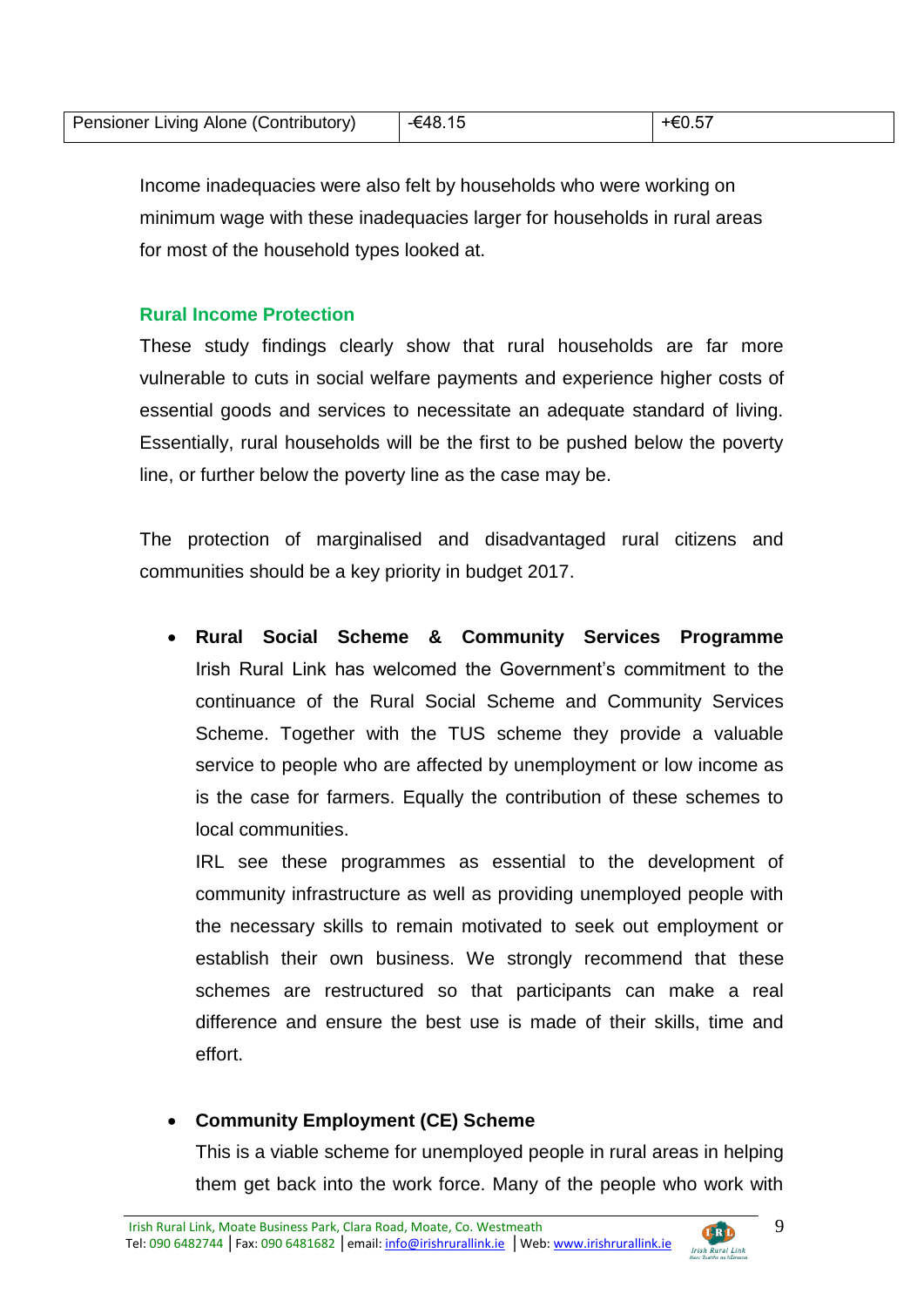| Pensioner Living Alone (Contributory) | -€48.15 |  |
|---------------------------------------|---------|--|

Income inadequacies were also felt by households who were working on minimum wage with these inadequacies larger for households in rural areas for most of the household types looked at.

#### **Rural Income Protection**

These study findings clearly show that rural households are far more vulnerable to cuts in social welfare payments and experience higher costs of essential goods and services to necessitate an adequate standard of living. Essentially, rural households will be the first to be pushed below the poverty line, or further below the poverty line as the case may be.

The protection of marginalised and disadvantaged rural citizens and communities should be a key priority in budget 2017.

 **Rural Social Scheme & Community Services Programme** Irish Rural Link has welcomed the Government's commitment to the continuance of the Rural Social Scheme and Community Services Scheme. Together with the TUS scheme they provide a valuable service to people who are affected by unemployment or low income as is the case for farmers. Equally the contribution of these schemes to local communities.

IRL see these programmes as essential to the development of community infrastructure as well as providing unemployed people with the necessary skills to remain motivated to seek out employment or establish their own business. We strongly recommend that these schemes are restructured so that participants can make a real difference and ensure the best use is made of their skills, time and effort.

# **Community Employment (CE) Scheme**

This is a viable scheme for unemployed people in rural areas in helping them get back into the work force. Many of the people who work with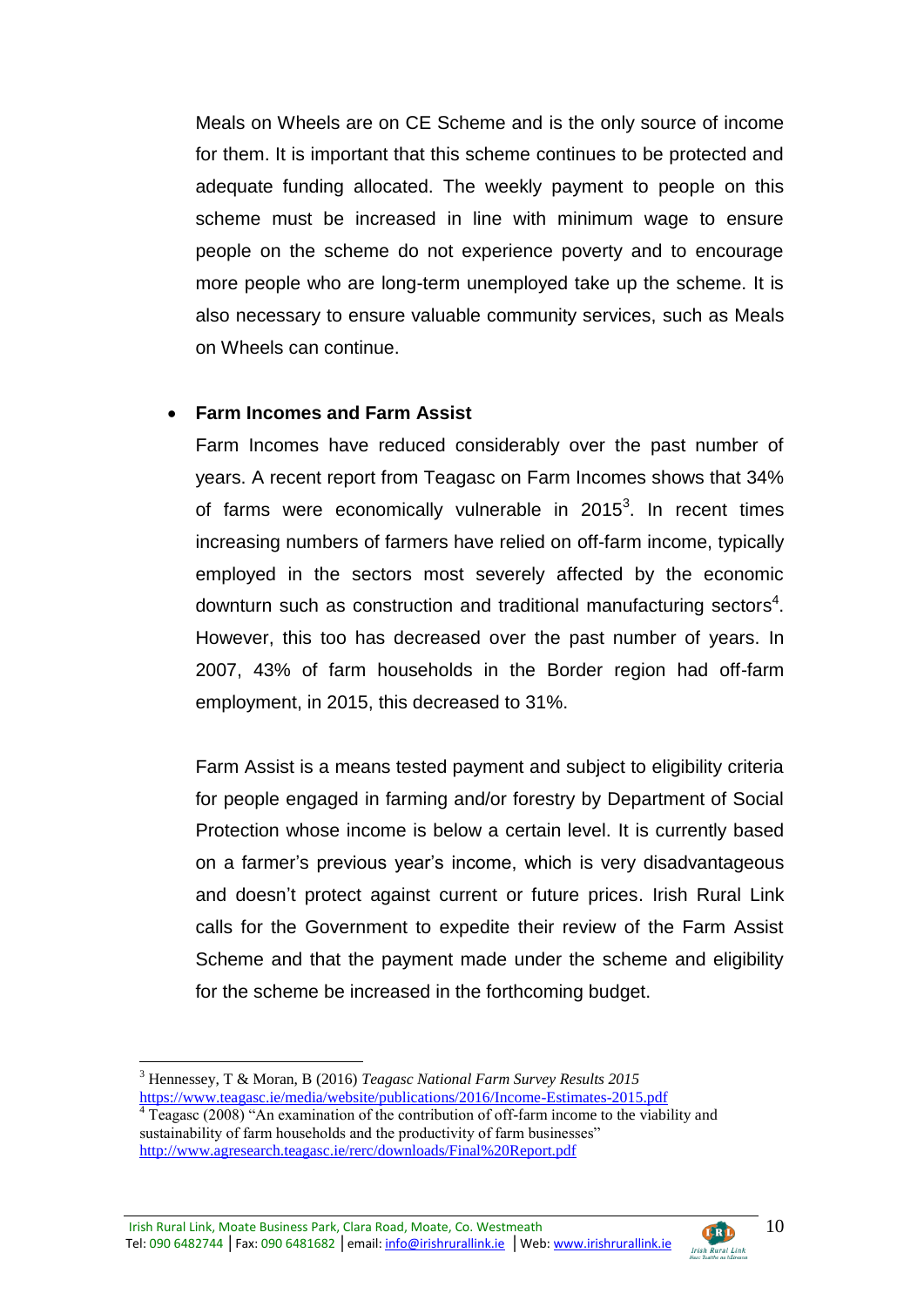Meals on Wheels are on CE Scheme and is the only source of income for them. It is important that this scheme continues to be protected and adequate funding allocated. The weekly payment to people on this scheme must be increased in line with minimum wage to ensure people on the scheme do not experience poverty and to encourage more people who are long-term unemployed take up the scheme. It is also necessary to ensure valuable community services, such as Meals on Wheels can continue.

#### **Farm Incomes and Farm Assist**

Farm Incomes have reduced considerably over the past number of years. A recent report from Teagasc on Farm Incomes shows that 34% of farms were economically vulnerable in  $2015<sup>3</sup>$ . In recent times increasing numbers of farmers have relied on off-farm income, typically employed in the sectors most severely affected by the economic downturn such as construction and traditional manufacturing sectors<sup>4</sup>. However, this too has decreased over the past number of years. In 2007, 43% of farm households in the Border region had off-farm employment, in 2015, this decreased to 31%.

Farm Assist is a means tested payment and subject to eligibility criteria for people engaged in farming and/or forestry by Department of Social Protection whose income is below a certain level. It is currently based on a farmer's previous year's income, which is very disadvantageous and doesn't protect against current or future prices. Irish Rural Link calls for the Government to expedite their review of the Farm Assist Scheme and that the payment made under the scheme and eligibility for the scheme be increased in the forthcoming budget.

1

10

**CERD** 

<sup>3</sup> Hennessey, T & Moran, B (2016) *Teagasc National Farm Survey Results 2015* <https://www.teagasc.ie/media/website/publications/2016/Income-Estimates-2015.pdf>

 $\frac{4}{4}$  Teagasc (2008) "An examination of the contribution of off-farm income to the viability and sustainability of farm households and the productivity of farm businesses" <http://www.agresearch.teagasc.ie/rerc/downloads/Final%20Report.pdf>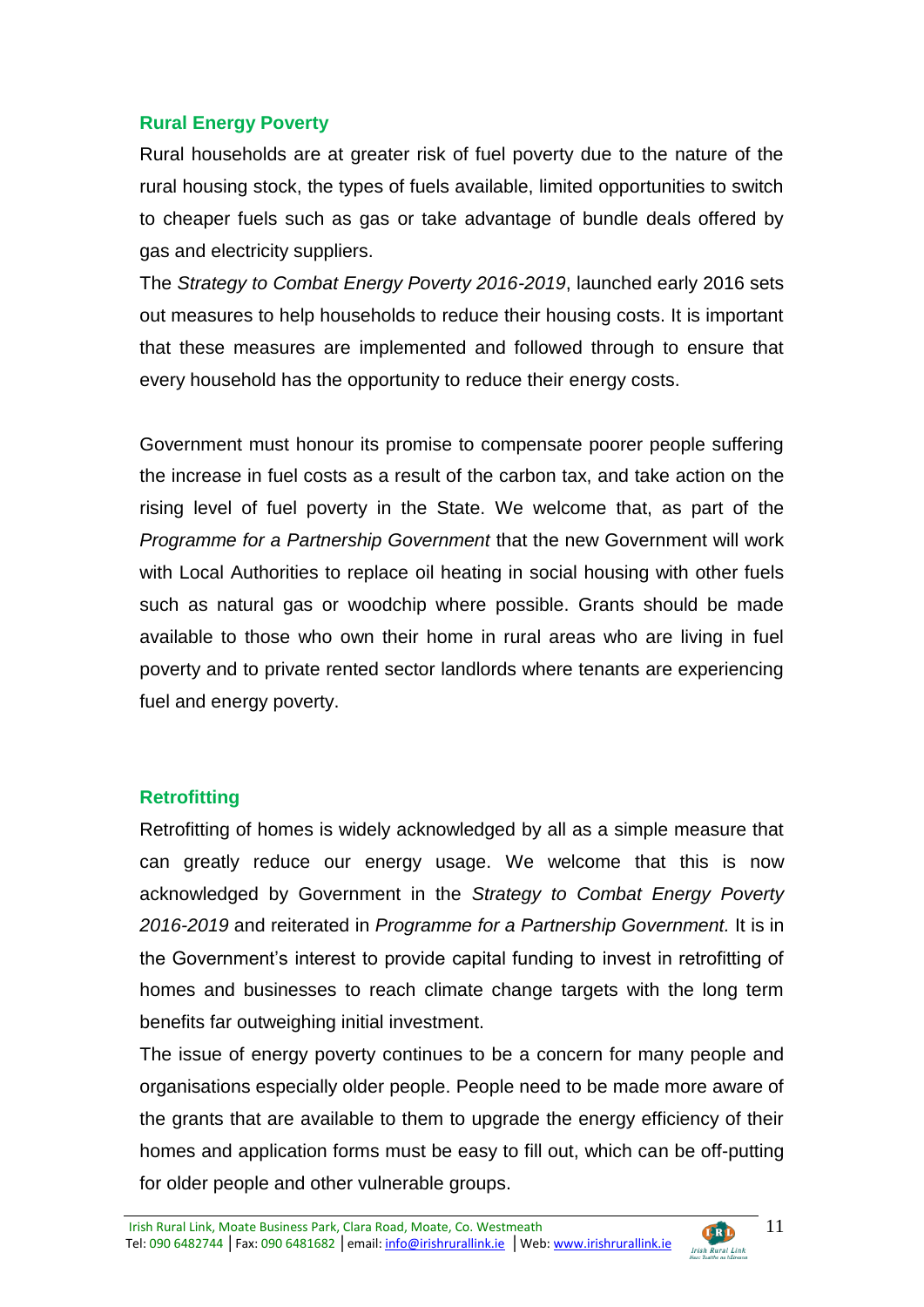# **Rural Energy Poverty**

Rural households are at greater risk of fuel poverty due to the nature of the rural housing stock, the types of fuels available, limited opportunities to switch to cheaper fuels such as gas or take advantage of bundle deals offered by gas and electricity suppliers.

The *Strategy to Combat Energy Poverty 2016-2019*, launched early 2016 sets out measures to help households to reduce their housing costs. It is important that these measures are implemented and followed through to ensure that every household has the opportunity to reduce their energy costs.

Government must honour its promise to compensate poorer people suffering the increase in fuel costs as a result of the carbon tax, and take action on the rising level of fuel poverty in the State. We welcome that, as part of the *Programme for a Partnership Government* that the new Government will work with Local Authorities to replace oil heating in social housing with other fuels such as natural gas or woodchip where possible. Grants should be made available to those who own their home in rural areas who are living in fuel poverty and to private rented sector landlords where tenants are experiencing fuel and energy poverty.

#### **Retrofitting**

Retrofitting of homes is widely acknowledged by all as a simple measure that can greatly reduce our energy usage. We welcome that this is now acknowledged by Government in the *Strategy to Combat Energy Poverty 2016-2019* and reiterated in *Programme for a Partnership Government.* It is in the Government's interest to provide capital funding to invest in retrofitting of homes and businesses to reach climate change targets with the long term benefits far outweighing initial investment.

The issue of energy poverty continues to be a concern for many people and organisations especially older people. People need to be made more aware of the grants that are available to them to upgrade the energy efficiency of their homes and application forms must be easy to fill out, which can be off-putting for older people and other vulnerable groups.

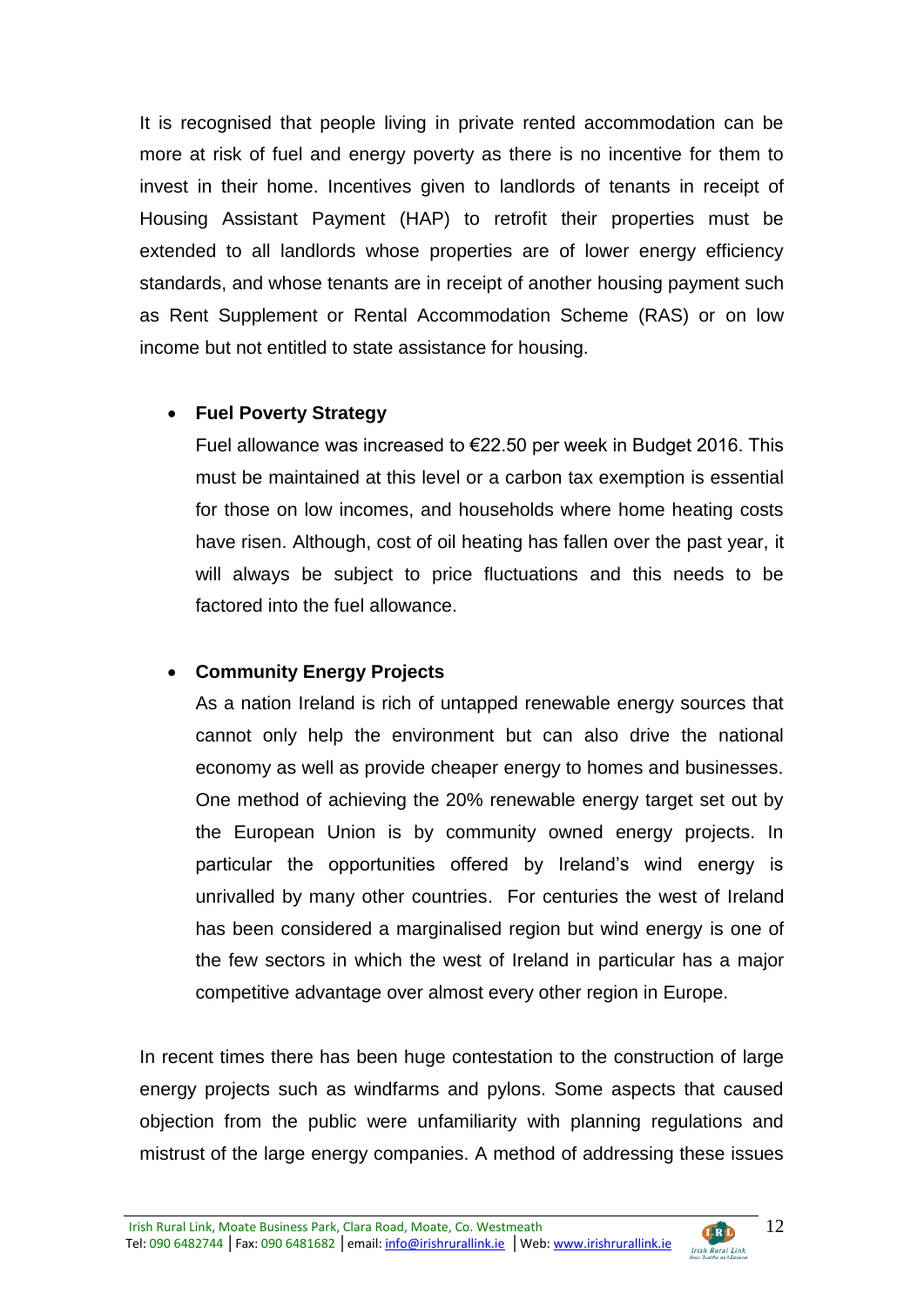It is recognised that people living in private rented accommodation can be more at risk of fuel and energy poverty as there is no incentive for them to invest in their home. Incentives given to landlords of tenants in receipt of Housing Assistant Payment (HAP) to retrofit their properties must be extended to all landlords whose properties are of lower energy efficiency standards, and whose tenants are in receipt of another housing payment such as Rent Supplement or Rental Accommodation Scheme (RAS) or on low income but not entitled to state assistance for housing.

# **Fuel Poverty Strategy**

Fuel allowance was increased to €22.50 per week in Budget 2016. This must be maintained at this level or a carbon tax exemption is essential for those on low incomes, and households where home heating costs have risen. Although, cost of oil heating has fallen over the past year, it will always be subject to price fluctuations and this needs to be factored into the fuel allowance.

# **Community Energy Projects**

As a nation Ireland is rich of untapped renewable energy sources that cannot only help the environment but can also drive the national economy as well as provide cheaper energy to homes and businesses. One method of achieving the 20% renewable energy target set out by the European Union is by community owned energy projects. In particular the opportunities offered by Ireland's wind energy is unrivalled by many other countries. For centuries the west of Ireland has been considered a marginalised region but wind energy is one of the few sectors in which the west of Ireland in particular has a major competitive advantage over almost every other region in Europe.

In recent times there has been huge contestation to the construction of large energy projects such as windfarms and pylons. Some aspects that caused objection from the public were unfamiliarity with planning regulations and mistrust of the large energy companies. A method of addressing these issues

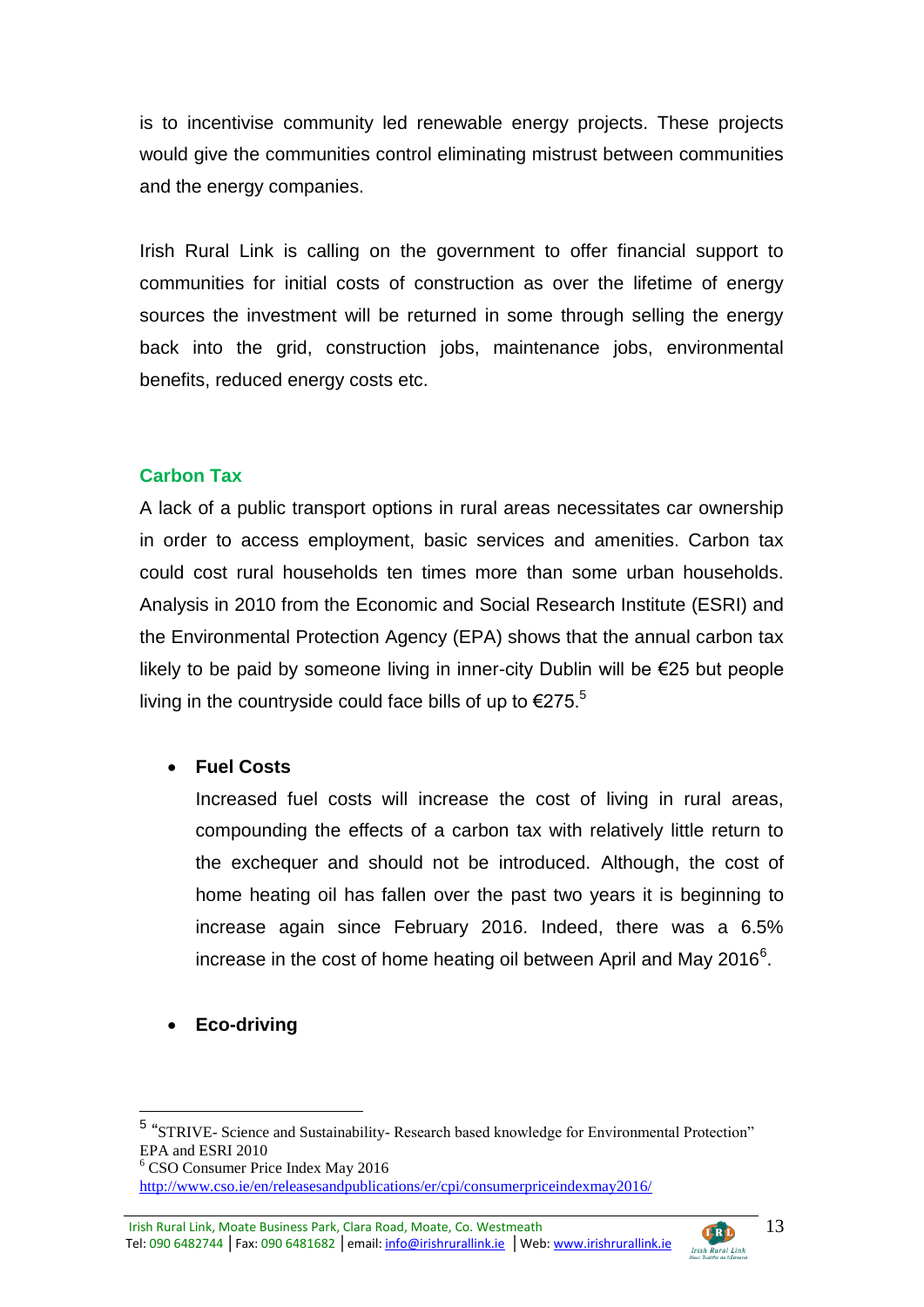is to incentivise community led renewable energy projects. These projects would give the communities control eliminating mistrust between communities and the energy companies.

Irish Rural Link is calling on the government to offer financial support to communities for initial costs of construction as over the lifetime of energy sources the investment will be returned in some through selling the energy back into the grid, construction jobs, maintenance jobs, environmental benefits, reduced energy costs etc.

#### **Carbon Tax**

A lack of a public transport options in rural areas necessitates car ownership in order to access employment, basic services and amenities. Carbon tax could cost rural households ten times more than some urban households. Analysis in 2010 from the Economic and Social Research Institute (ESRI) and the Environmental Protection Agency (EPA) shows that the annual carbon tax likely to be paid by someone living in inner-city Dublin will be €25 but people living in the countryside could face bills of up to  $\epsilon$ 275.<sup>5</sup>

#### **Fuel Costs**

Increased fuel costs will increase the cost of living in rural areas, compounding the effects of a carbon tax with relatively little return to the exchequer and should not be introduced. Although, the cost of home heating oil has fallen over the past two years it is beginning to increase again since February 2016. Indeed, there was a 6.5% increase in the cost of home heating oil between April and May 2016 $^6$ .

**Eco-driving**

1

**CERD** 

<sup>5</sup> "STRIVE- Science and Sustainability- Research based knowledge for Environmental Protection" EPA and ESRI 2010

<sup>6</sup> CSO Consumer Price Index May 2016 <http://www.cso.ie/en/releasesandpublications/er/cpi/consumerpriceindexmay2016/>

Irish Rural Link, Moate Business Park, Clara Road, Moate, Co. Westmeath Tel: 090 6482744 | Fax: 090 6481682 | email: info@irishrurallink.ie | Web: www.irishrurallink.ie Irish Rural Link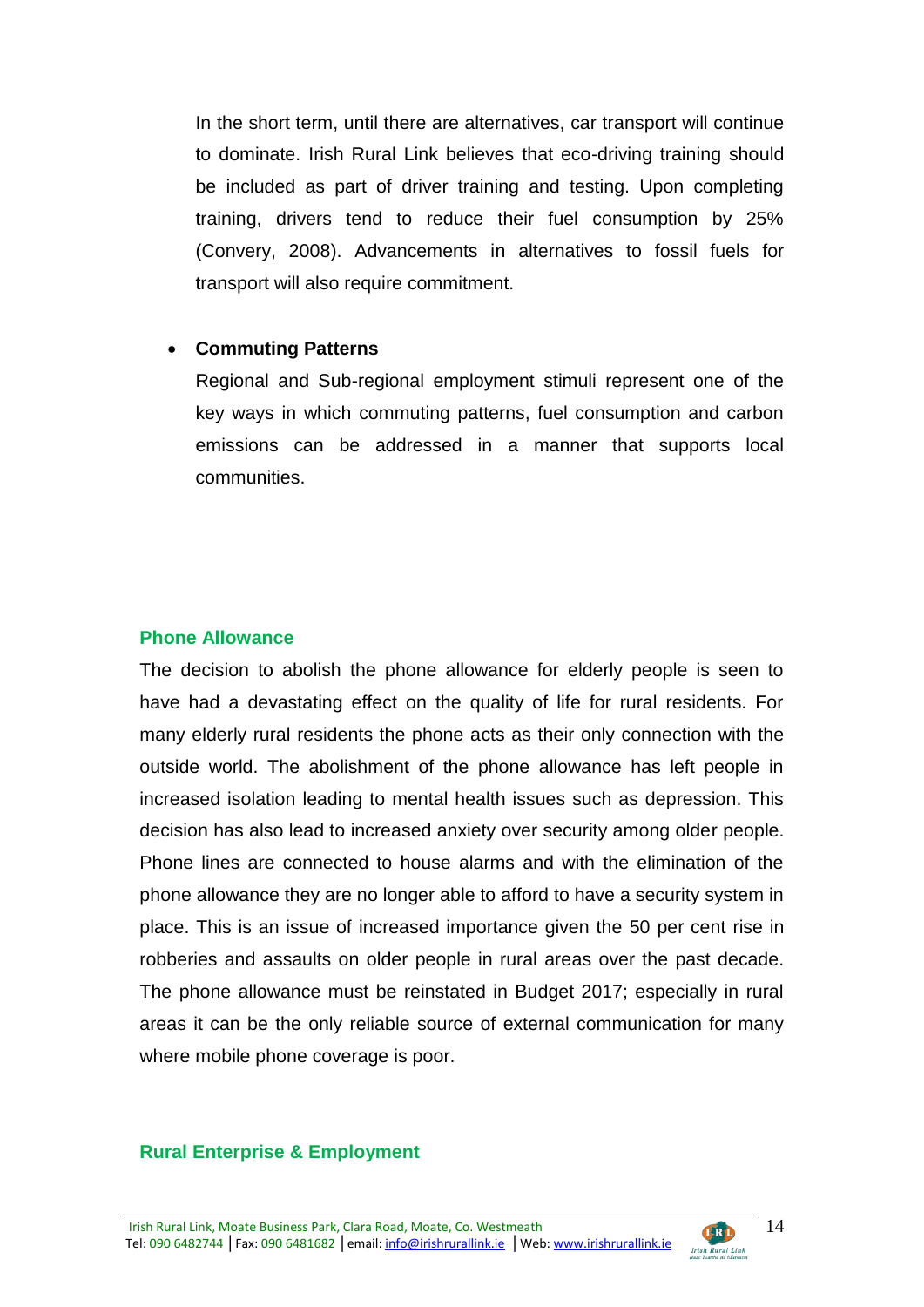In the short term, until there are alternatives, car transport will continue to dominate. Irish Rural Link believes that eco-driving training should be included as part of driver training and testing. Upon completing training, drivers tend to reduce their fuel consumption by 25% (Convery, 2008). Advancements in alternatives to fossil fuels for transport will also require commitment.

#### **Commuting Patterns**

Regional and Sub-regional employment stimuli represent one of the key ways in which commuting patterns, fuel consumption and carbon emissions can be addressed in a manner that supports local communities.

#### **Phone Allowance**

The decision to abolish the phone allowance for elderly people is seen to have had a devastating effect on the quality of life for rural residents. For many elderly rural residents the phone acts as their only connection with the outside world. The abolishment of the phone allowance has left people in increased isolation leading to mental health issues such as depression. This decision has also lead to increased anxiety over security among older people. Phone lines are connected to house alarms and with the elimination of the phone allowance they are no longer able to afford to have a security system in place. This is an issue of increased importance given the 50 per cent rise in robberies and assaults on older people in rural areas over the past decade. The phone allowance must be reinstated in Budget 2017; especially in rural areas it can be the only reliable source of external communication for many where mobile phone coverage is poor.

#### **Rural Enterprise & Employment**

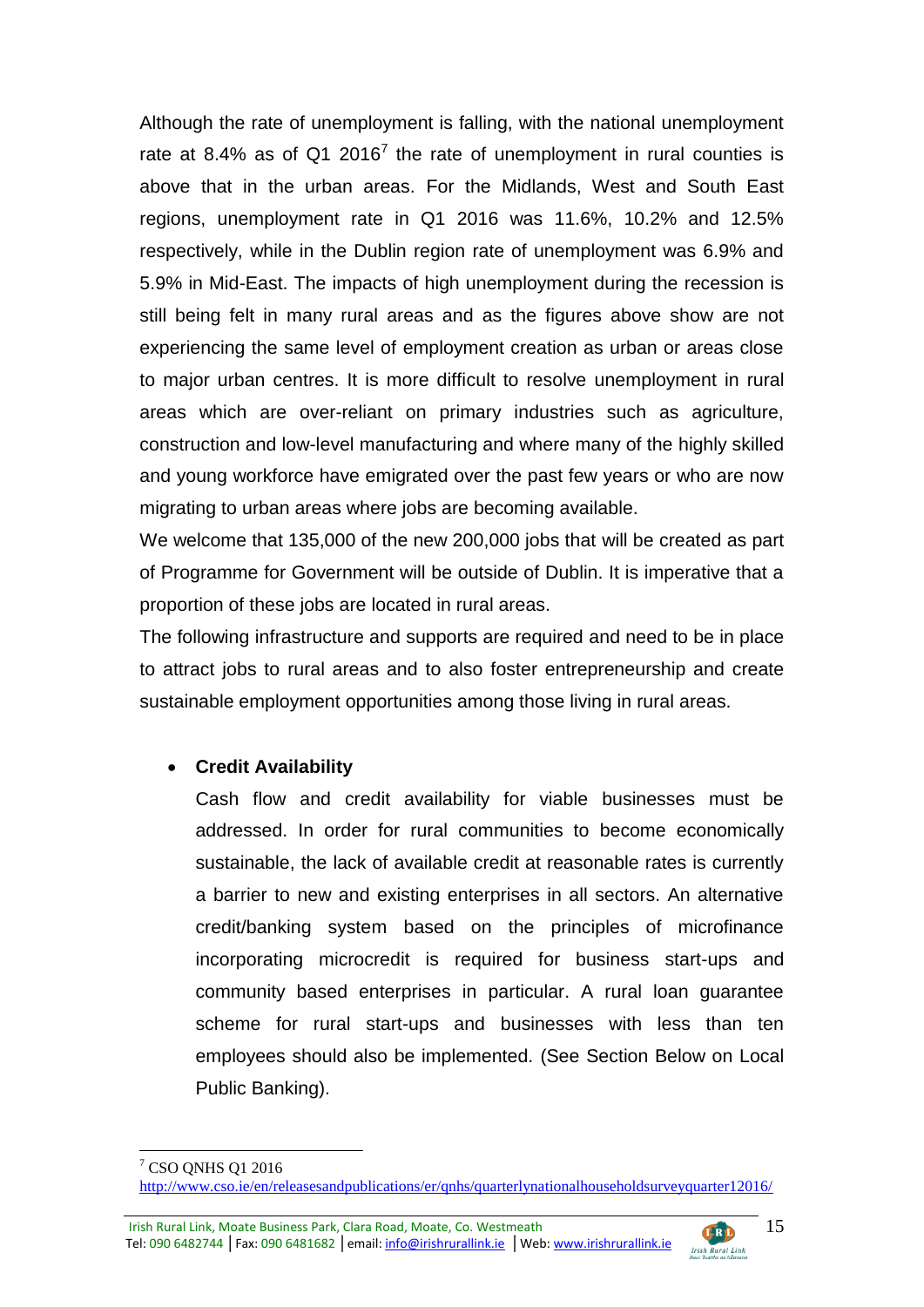Although the rate of unemployment is falling, with the national unemployment rate at 8.4% as of Q1 2016<sup>7</sup> the rate of unemployment in rural counties is above that in the urban areas. For the Midlands, West and South East regions, unemployment rate in Q1 2016 was 11.6%, 10.2% and 12.5% respectively, while in the Dublin region rate of unemployment was 6.9% and 5.9% in Mid-East. The impacts of high unemployment during the recession is still being felt in many rural areas and as the figures above show are not experiencing the same level of employment creation as urban or areas close to major urban centres. It is more difficult to resolve unemployment in rural areas which are over-reliant on primary industries such as agriculture, construction and low-level manufacturing and where many of the highly skilled and young workforce have emigrated over the past few years or who are now migrating to urban areas where jobs are becoming available.

We welcome that 135,000 of the new 200,000 jobs that will be created as part of Programme for Government will be outside of Dublin. It is imperative that a proportion of these jobs are located in rural areas.

The following infrastructure and supports are required and need to be in place to attract jobs to rural areas and to also foster entrepreneurship and create sustainable employment opportunities among those living in rural areas.

# **Credit Availability**

Cash flow and credit availability for viable businesses must be addressed. In order for rural communities to become economically sustainable, the lack of available credit at reasonable rates is currently a barrier to new and existing enterprises in all sectors. An alternative credit/banking system based on the principles of microfinance incorporating microcredit is required for business start-ups and community based enterprises in particular. A rural loan guarantee scheme for rural start-ups and businesses with less than ten employees should also be implemented. (See Section Below on Local Public Banking).

Irish Rural Link, Moate Business Park, Clara Road, Moate, Co. Westmeath din Tel: 090 6482744 | Fax: 090 6481682 | email: info@irishrurallink.ie | Web: www.irishrurallink.ie Irish Rural Link



<sup>1</sup> <sup>7</sup> CSO ONHS Q1 2016

<http://www.cso.ie/en/releasesandpublications/er/qnhs/quarterlynationalhouseholdsurveyquarter12016/>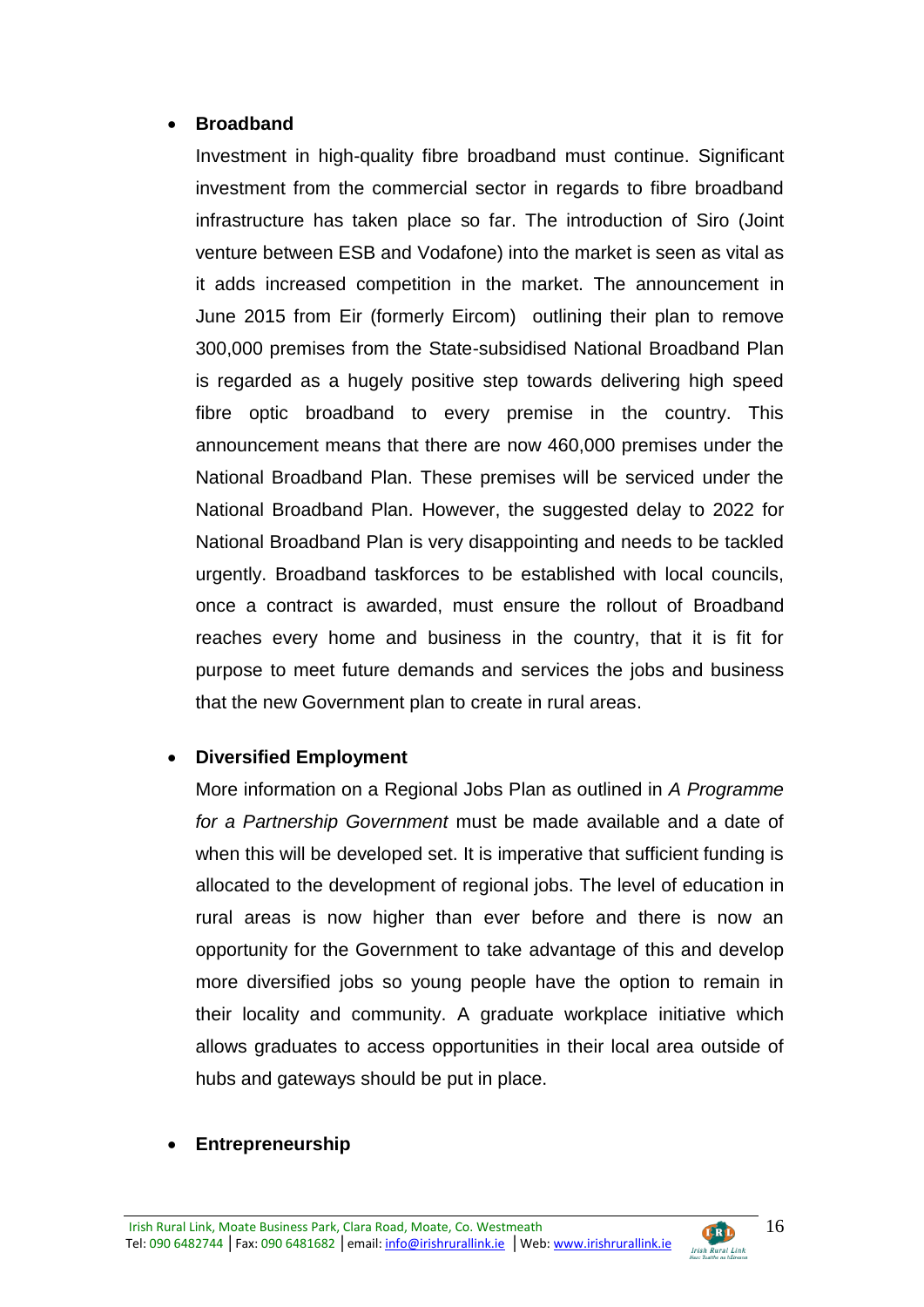#### **Broadband**

Investment in high-quality fibre broadband must continue. Significant investment from the commercial sector in regards to fibre broadband infrastructure has taken place so far. The introduction of Siro (Joint venture between ESB and Vodafone) into the market is seen as vital as it adds increased competition in the market. The announcement in June 2015 from Eir (formerly Eircom) outlining their plan to remove 300,000 premises from the State-subsidised National Broadband Plan is regarded as a hugely positive step towards delivering high speed fibre optic broadband to every premise in the country. This announcement means that there are now 460,000 premises under the National Broadband Plan. These premises will be serviced under the National Broadband Plan. However, the suggested delay to 2022 for National Broadband Plan is very disappointing and needs to be tackled urgently. Broadband taskforces to be established with local councils, once a contract is awarded, must ensure the rollout of Broadband reaches every home and business in the country, that it is fit for purpose to meet future demands and services the jobs and business that the new Government plan to create in rural areas.

# **Diversified Employment**

More information on a Regional Jobs Plan as outlined in *A Programme for a Partnership Government* must be made available and a date of when this will be developed set. It is imperative that sufficient funding is allocated to the development of regional jobs. The level of education in rural areas is now higher than ever before and there is now an opportunity for the Government to take advantage of this and develop more diversified jobs so young people have the option to remain in their locality and community. A graduate workplace initiative which allows graduates to access opportunities in their local area outside of hubs and gateways should be put in place.

#### **Entrepreneurship**

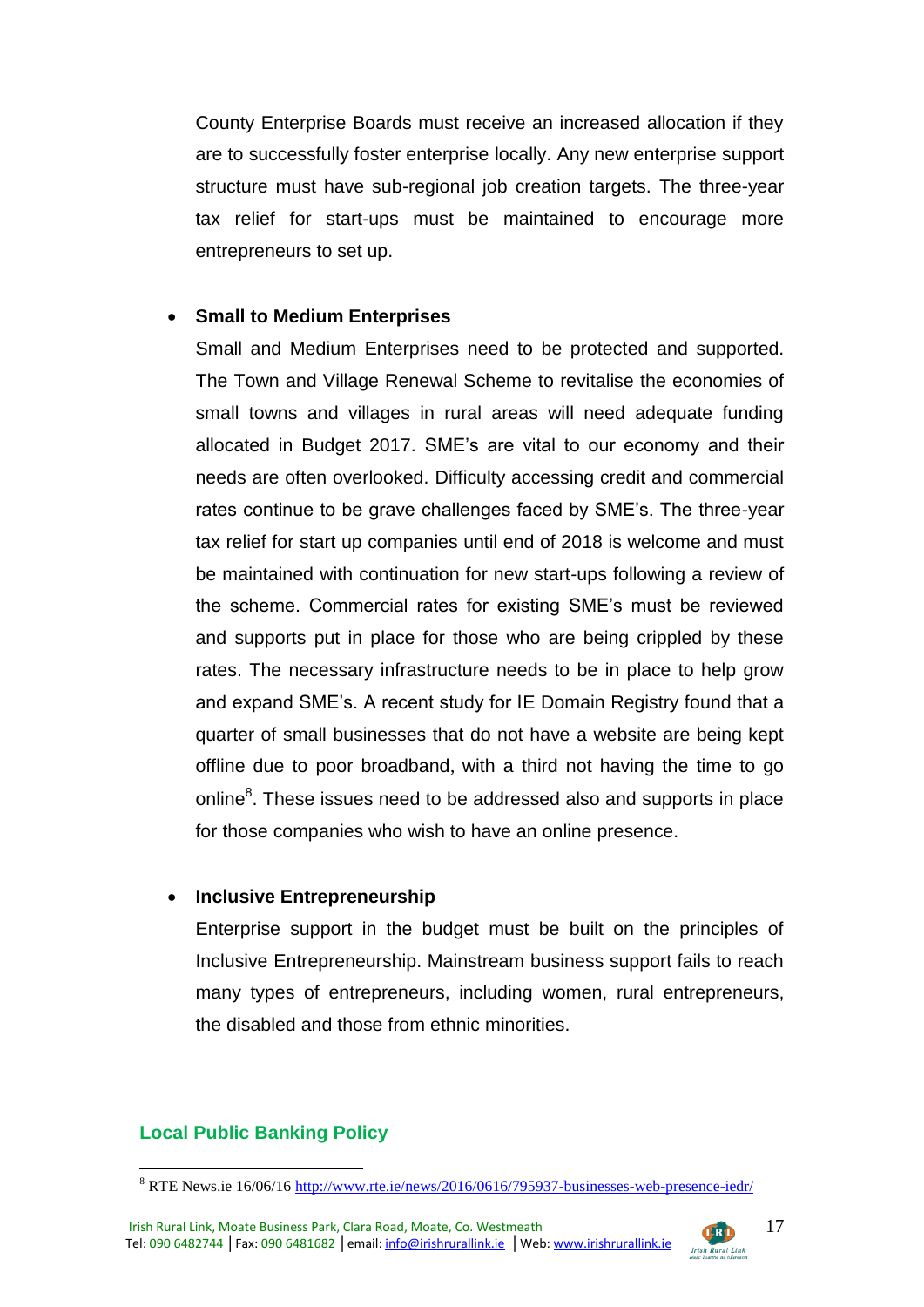County Enterprise Boards must receive an increased allocation if they are to successfully foster enterprise locally. Any new enterprise support structure must have sub-regional job creation targets. The three-year tax relief for start-ups must be maintained to encourage more entrepreneurs to set up.

#### **Small to Medium Enterprises**

Small and Medium Enterprises need to be protected and supported. The Town and Village Renewal Scheme to revitalise the economies of small towns and villages in rural areas will need adequate funding allocated in Budget 2017. SME's are vital to our economy and their needs are often overlooked. Difficulty accessing credit and commercial rates continue to be grave challenges faced by SME's. The three-year tax relief for start up companies until end of 2018 is welcome and must be maintained with continuation for new start-ups following a review of the scheme. Commercial rates for existing SME's must be reviewed and supports put in place for those who are being crippled by these rates. The necessary infrastructure needs to be in place to help grow and expand SME's. A recent study for IE Domain Registry found that a quarter of small businesses that do not have a website are being kept offline due to poor broadband, with a third not having the time to go online<sup>8</sup>. These issues need to be addressed also and supports in place for those companies who wish to have an online presence.

#### **Inclusive Entrepreneurship**

Enterprise support in the budget must be built on the principles of Inclusive Entrepreneurship. Mainstream business support fails to reach many types of entrepreneurs, including women, rural entrepreneurs, the disabled and those from ethnic minorities.

# **Local Public Banking Policy**



<sup>8</sup> RTE News.ie 16/06/16<http://www.rte.ie/news/2016/0616/795937-businesses-web-presence-iedr/>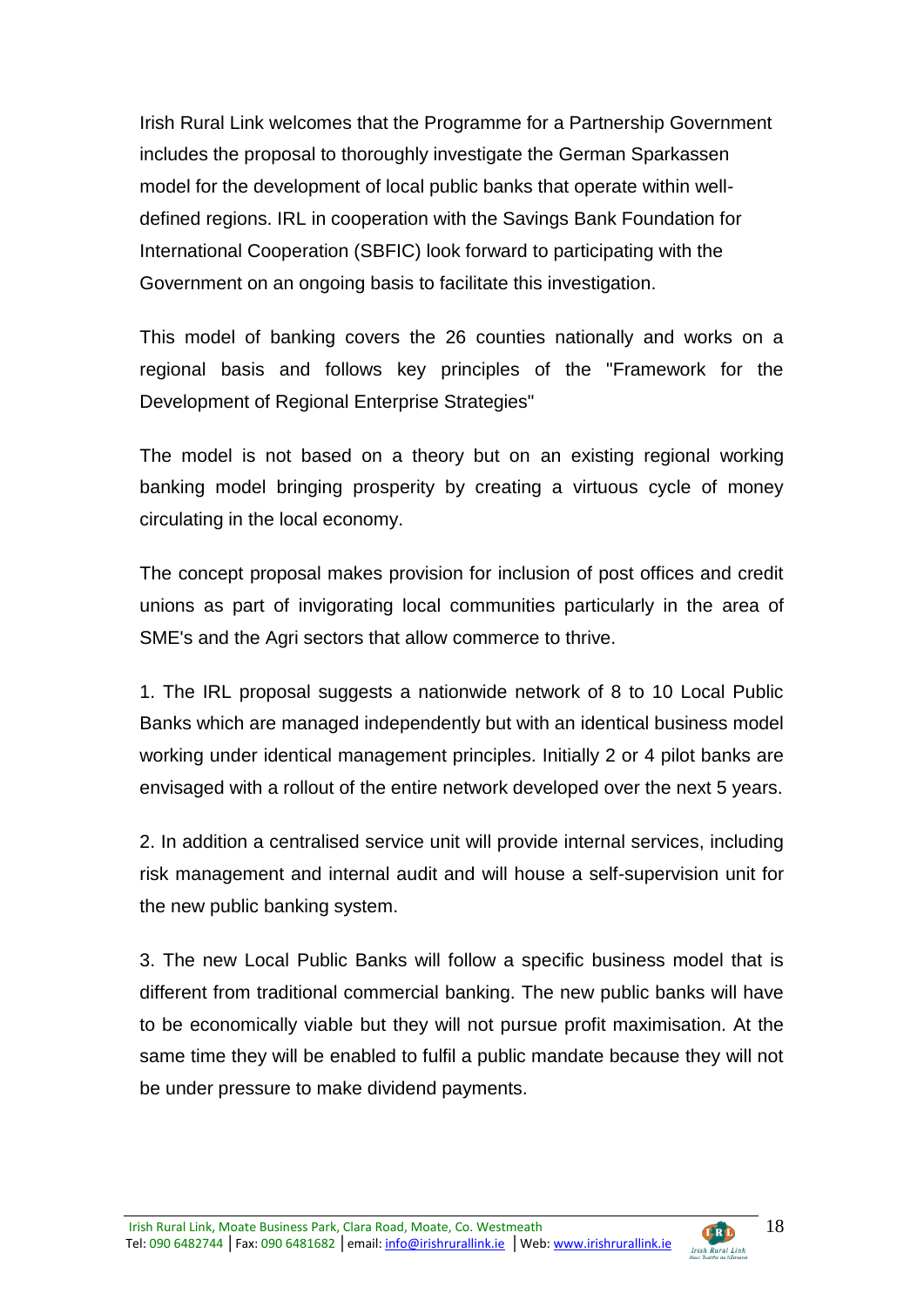Irish Rural Link welcomes that the Programme for a Partnership Government includes the proposal to thoroughly investigate the German Sparkassen model for the development of local public banks that operate within welldefined regions. IRL in cooperation with the Savings Bank Foundation for International Cooperation (SBFIC) look forward to participating with the Government on an ongoing basis to facilitate this investigation.

This model of banking covers the 26 counties nationally and works on a regional basis and follows key principles of the "Framework for the Development of Regional Enterprise Strategies"

The model is not based on a theory but on an existing regional working banking model bringing prosperity by creating a virtuous cycle of money circulating in the local economy.

The concept proposal makes provision for inclusion of post offices and credit unions as part of invigorating local communities particularly in the area of SME's and the Agri sectors that allow commerce to thrive.

1. The IRL proposal suggests a nationwide network of 8 to 10 Local Public Banks which are managed independently but with an identical business model working under identical management principles. Initially 2 or 4 pilot banks are envisaged with a rollout of the entire network developed over the next 5 years.

2. In addition a centralised service unit will provide internal services, including risk management and internal audit and will house a self-supervision unit for the new public banking system.

3. The new Local Public Banks will follow a specific business model that is different from traditional commercial banking. The new public banks will have to be economically viable but they will not pursue profit maximisation. At the same time they will be enabled to fulfil a public mandate because they will not be under pressure to make dividend payments.

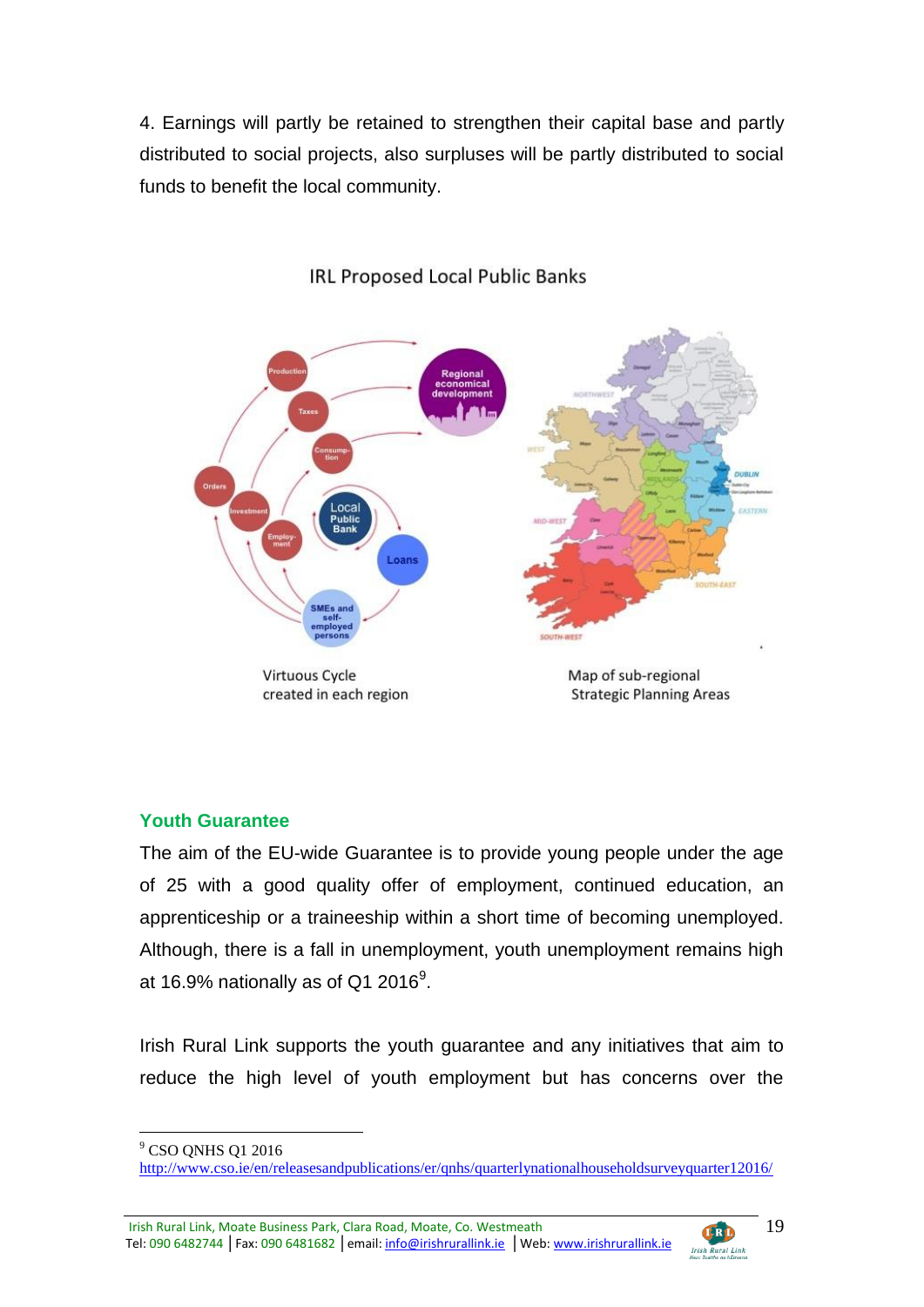4. Earnings will partly be retained to strengthen their capital base and partly distributed to social projects, also surpluses will be partly distributed to social funds to benefit the local community.



# **IRL Proposed Local Public Banks**

Virtuous Cycle created in each region Map of sub-regional **Strategic Planning Areas** 

# **Youth Guarantee**

The aim of the EU-wide Guarantee is to provide young people under the age of 25 with a good quality offer of employment, continued education, an apprenticeship or a traineeship within a short time of becoming unemployed. Although, there is a fall in unemployment, youth unemployment remains high at 16.9% nationally as of Q1 2016 $^9$ .

Irish Rural Link supports the youth guarantee and any initiatives that aim to reduce the high level of youth employment but has concerns over the

<u>.</u>



<sup>&</sup>lt;sup>9</sup> CSO ONHS Q1 2016

<http://www.cso.ie/en/releasesandpublications/er/qnhs/quarterlynationalhouseholdsurveyquarter12016/>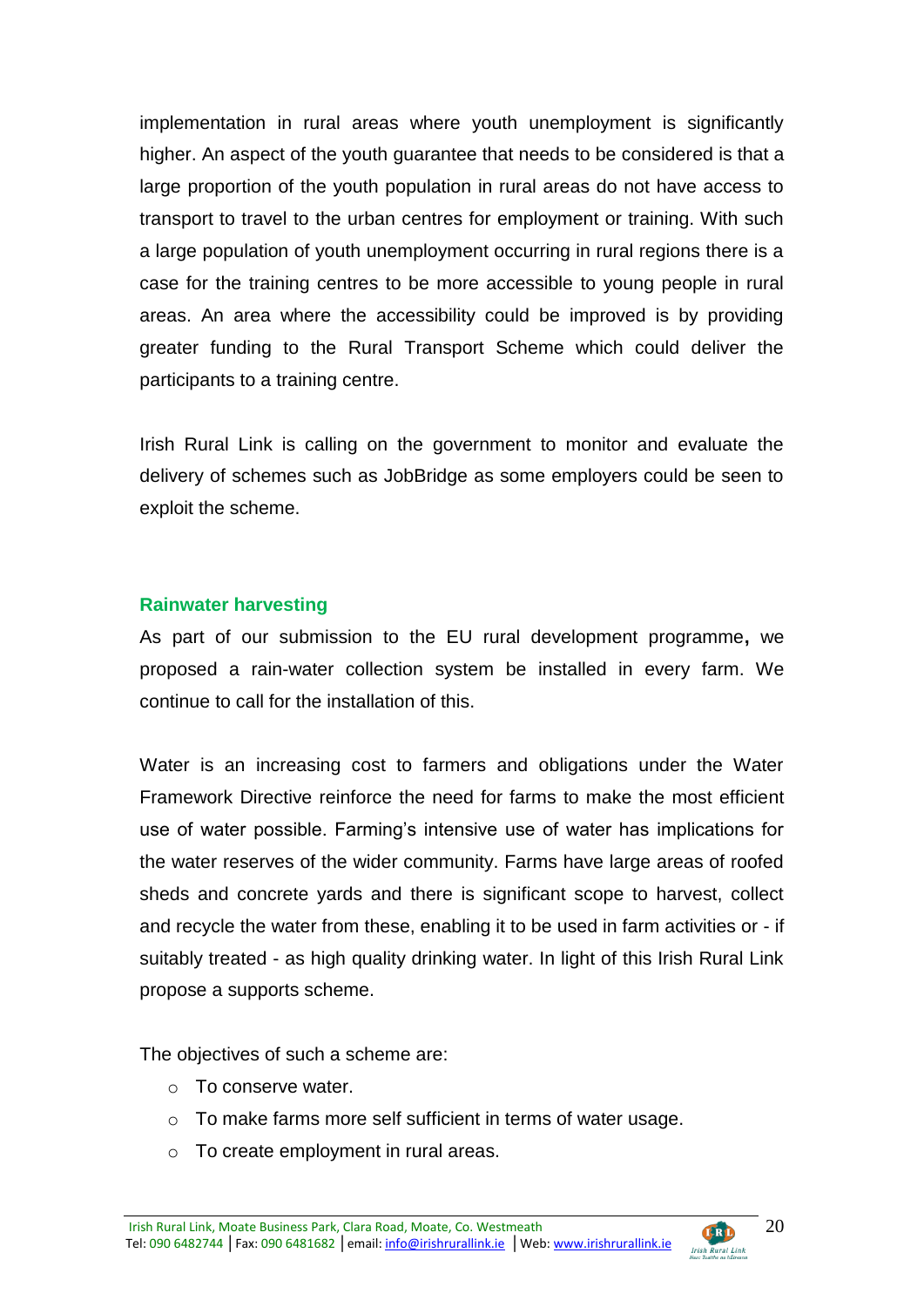implementation in rural areas where youth unemployment is significantly higher. An aspect of the youth guarantee that needs to be considered is that a large proportion of the youth population in rural areas do not have access to transport to travel to the urban centres for employment or training. With such a large population of youth unemployment occurring in rural regions there is a case for the training centres to be more accessible to young people in rural areas. An area where the accessibility could be improved is by providing greater funding to the Rural Transport Scheme which could deliver the participants to a training centre.

Irish Rural Link is calling on the government to monitor and evaluate the delivery of schemes such as JobBridge as some employers could be seen to exploit the scheme.

#### **Rainwater harvesting**

As part of our submission to the EU rural development programme**,** we proposed a rain-water collection system be installed in every farm. We continue to call for the installation of this.

Water is an increasing cost to farmers and obligations under the Water Framework Directive reinforce the need for farms to make the most efficient use of water possible. Farming's intensive use of water has implications for the water reserves of the wider community. Farms have large areas of roofed sheds and concrete yards and there is significant scope to harvest, collect and recycle the water from these, enabling it to be used in farm activities or - if suitably treated - as high quality drinking water. In light of this Irish Rural Link propose a supports scheme.

The objectives of such a scheme are:

- o To conserve water.
- o To make farms more self sufficient in terms of water usage.
- o To create employment in rural areas.

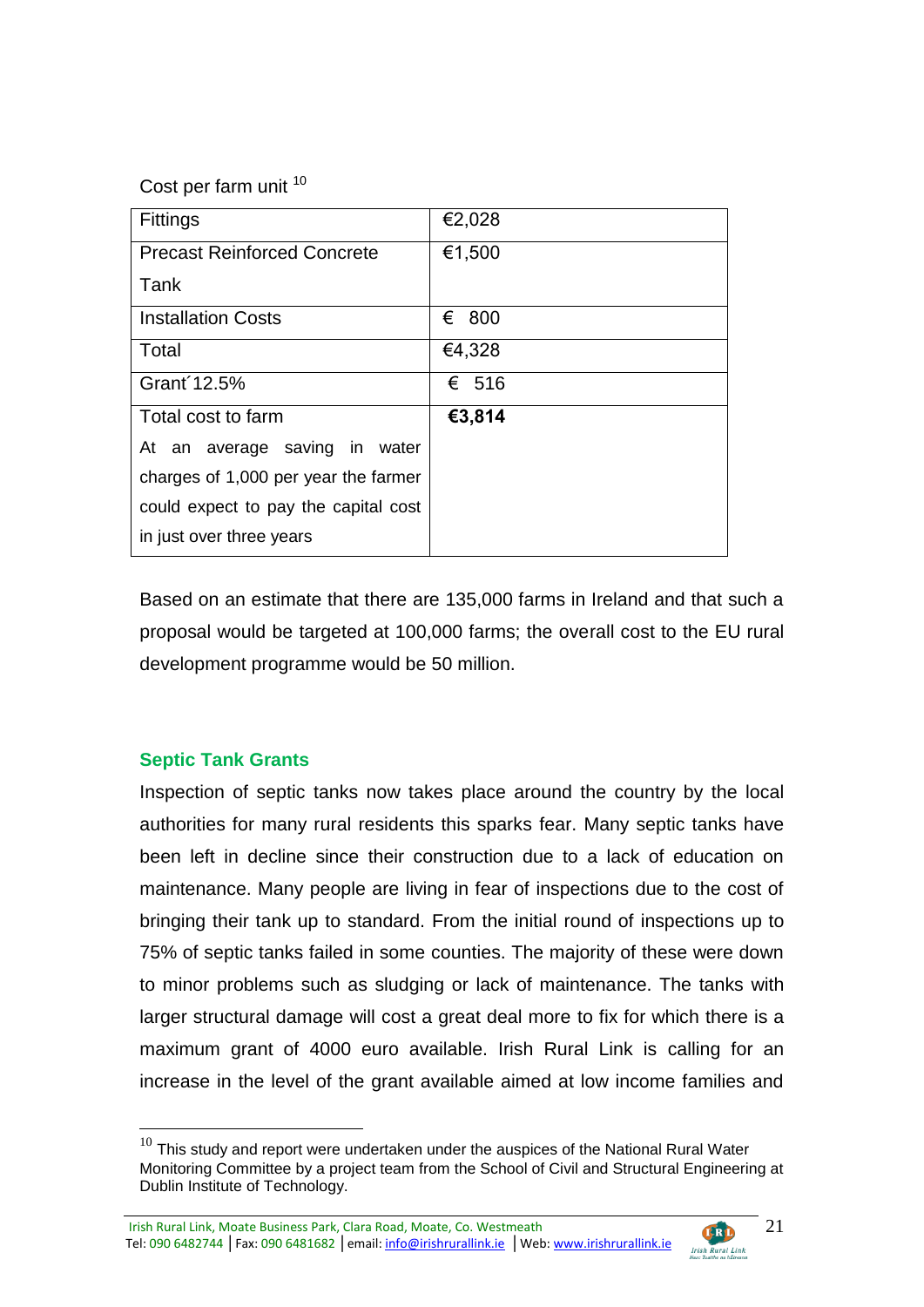Cost per farm unit 10

| <b>Fittings</b>                      | €2,028 |
|--------------------------------------|--------|
| <b>Precast Reinforced Concrete</b>   | €1,500 |
| Tank                                 |        |
| <b>Installation Costs</b>            | € 800  |
| Total                                | €4,328 |
| Grant 12.5%                          | € 516  |
| Total cost to farm                   | €3,814 |
| At an average saving in water        |        |
| charges of 1,000 per year the farmer |        |
| could expect to pay the capital cost |        |
| in just over three years             |        |

Based on an estimate that there are 135,000 farms in Ireland and that such a proposal would be targeted at 100,000 farms; the overall cost to the EU rural development programme would be 50 million.

# **Septic Tank Grants**

<u>.</u>

Inspection of septic tanks now takes place around the country by the local authorities for many rural residents this sparks fear. Many septic tanks have been left in decline since their construction due to a lack of education on maintenance. Many people are living in fear of inspections due to the cost of bringing their tank up to standard. From the initial round of inspections up to 75% of septic tanks failed in some counties. The majority of these were down to minor problems such as sludging or lack of maintenance. The tanks with larger structural damage will cost a great deal more to fix for which there is a maximum grant of 4000 euro available. Irish Rural Link is calling for an increase in the level of the grant available aimed at low income families and

Irish Rural Link, Moate Business Park, Clara Road, Moate, Co. Westmeath **CERD** Tel: 090 6482744 | Fax: 090 6481682 | email: info@irishrurallink.ie | Web: www.irishrurallink.ie Irish Rural Link



 $10$  This study and report were undertaken under the auspices of the National Rural Water Monitoring Committee by a project team from the School of Civil and Structural Engineering at Dublin Institute of Technology.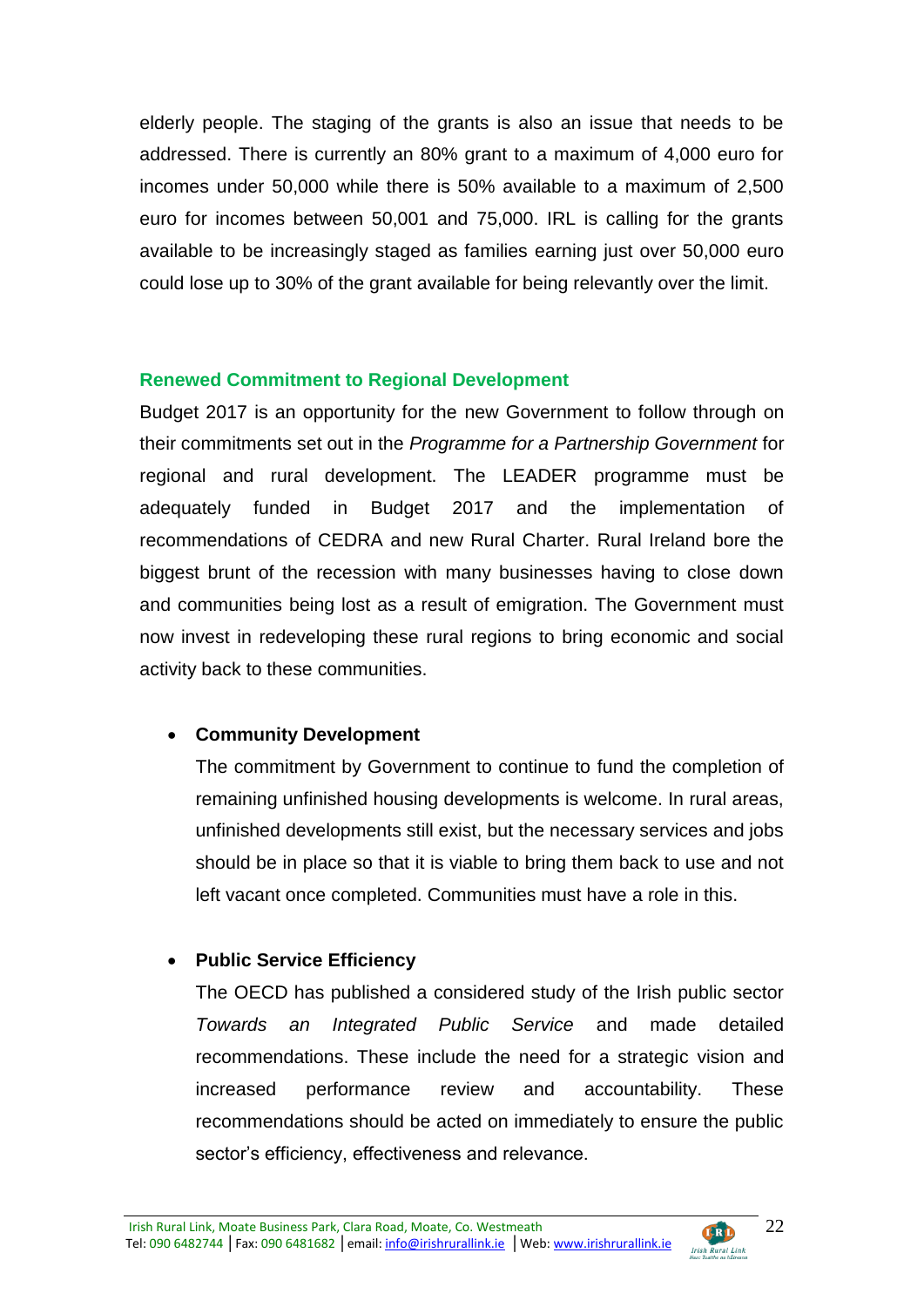elderly people. The staging of the grants is also an issue that needs to be addressed. There is currently an 80% grant to a maximum of 4,000 euro for incomes under 50,000 while there is 50% available to a maximum of 2,500 euro for incomes between 50,001 and 75,000. IRL is calling for the grants available to be increasingly staged as families earning just over 50,000 euro could lose up to 30% of the grant available for being relevantly over the limit.

# **Renewed Commitment to Regional Development**

Budget 2017 is an opportunity for the new Government to follow through on their commitments set out in the *Programme for a Partnership Government* for regional and rural development. The LEADER programme must be adequately funded in Budget 2017 and the implementation of recommendations of CEDRA and new Rural Charter. Rural Ireland bore the biggest brunt of the recession with many businesses having to close down and communities being lost as a result of emigration. The Government must now invest in redeveloping these rural regions to bring economic and social activity back to these communities.

# **Community Development**

The commitment by Government to continue to fund the completion of remaining unfinished housing developments is welcome. In rural areas, unfinished developments still exist, but the necessary services and jobs should be in place so that it is viable to bring them back to use and not left vacant once completed. Communities must have a role in this.

# **Public Service Efficiency**

The OECD has published a considered study of the Irish public sector *Towards an Integrated Public Service* and made detailed recommendations. These include the need for a strategic vision and increased performance review and accountability. These recommendations should be acted on immediately to ensure the public sector's efficiency, effectiveness and relevance.

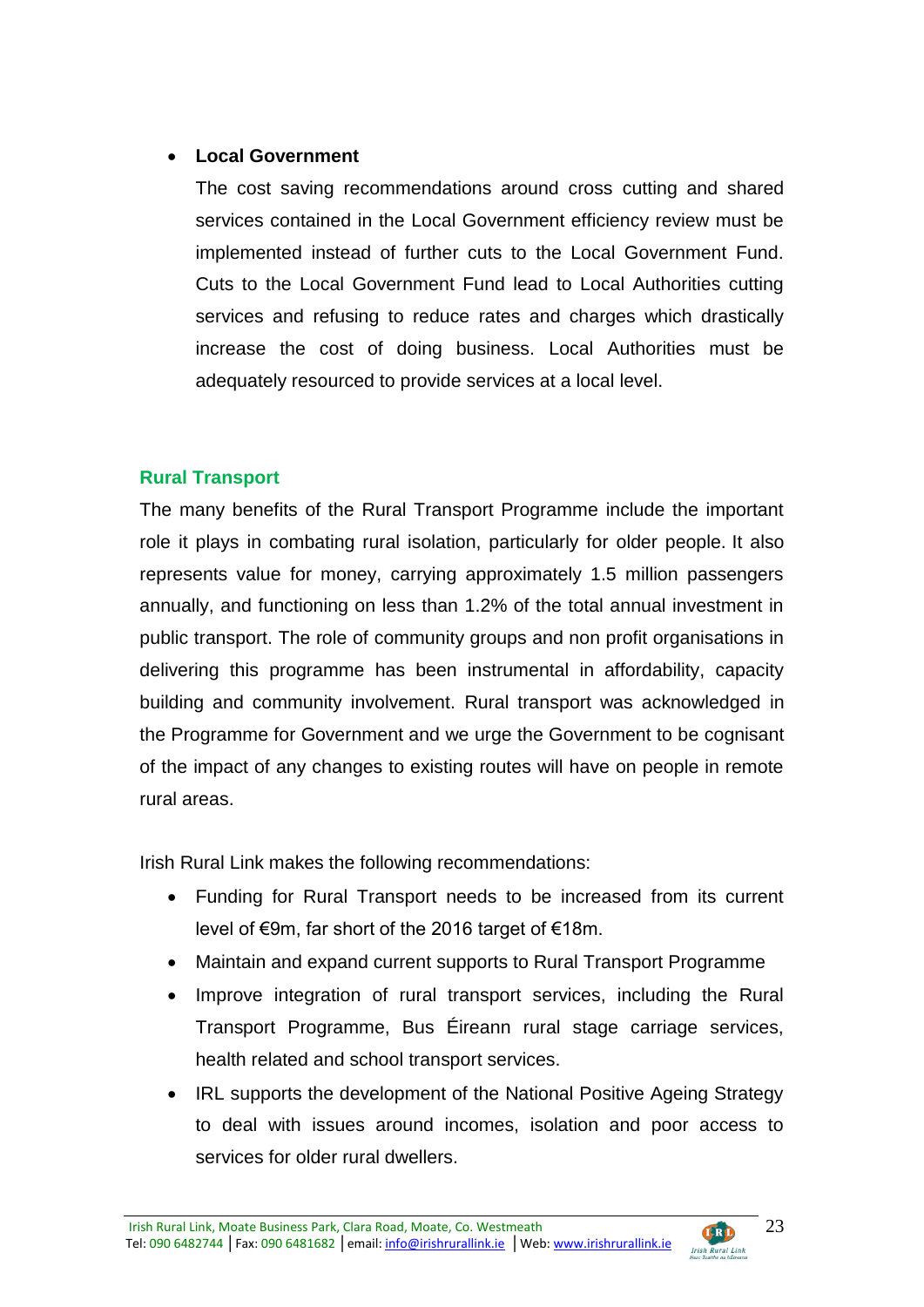# **Local Government**

The cost saving recommendations around cross cutting and shared services contained in the Local Government efficiency review must be implemented instead of further cuts to the Local Government Fund. Cuts to the Local Government Fund lead to Local Authorities cutting services and refusing to reduce rates and charges which drastically increase the cost of doing business. Local Authorities must be adequately resourced to provide services at a local level.

# **Rural Transport**

The many benefits of the Rural Transport Programme include the important role it plays in combating rural isolation, particularly for older people. It also represents value for money, carrying approximately 1.5 million passengers annually, and functioning on less than 1.2% of the total annual investment in public transport. The role of community groups and non profit organisations in delivering this programme has been instrumental in affordability, capacity building and community involvement. Rural transport was acknowledged in the Programme for Government and we urge the Government to be cognisant of the impact of any changes to existing routes will have on people in remote rural areas.

Irish Rural Link makes the following recommendations:

- Funding for Rural Transport needs to be increased from its current level of €9m, far short of the 2016 target of €18m.
- Maintain and expand current supports to Rural Transport Programme
- Improve integration of rural transport services, including the Rural Transport Programme, Bus Éireann rural stage carriage services, health related and school transport services.
- IRL supports the development of the National Positive Ageing Strategy to deal with issues around incomes, isolation and poor access to services for older rural dwellers.

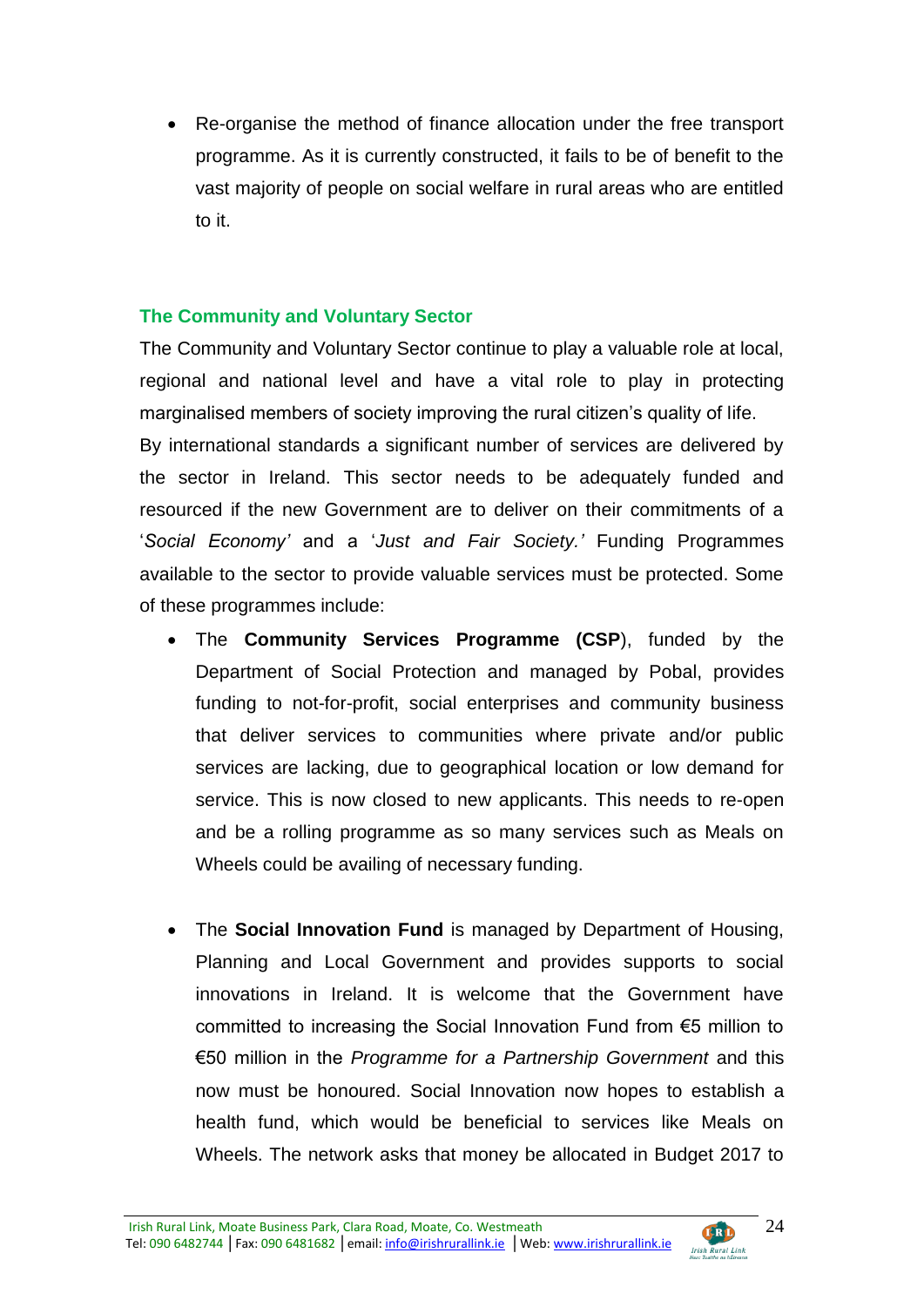Re-organise the method of finance allocation under the free transport programme. As it is currently constructed, it fails to be of benefit to the vast majority of people on social welfare in rural areas who are entitled to it.

# **The Community and Voluntary Sector**

The Community and Voluntary Sector continue to play a valuable role at local, regional and national level and have a vital role to play in protecting marginalised members of society improving the rural citizen's quality of life. By international standards a significant number of services are delivered by the sector in Ireland. This sector needs to be adequately funded and resourced if the new Government are to deliver on their commitments of a '*Social Economy'* and a '*Just and Fair Society.'* Funding Programmes available to the sector to provide valuable services must be protected. Some of these programmes include:

- The **Community Services Programme (CSP**), funded by the Department of Social Protection and managed by Pobal, provides funding to not-for-profit, social enterprises and community business that deliver services to communities where private and/or public services are lacking, due to geographical location or low demand for service. This is now closed to new applicants. This needs to re-open and be a rolling programme as so many services such as Meals on Wheels could be availing of necessary funding.
- The **Social Innovation Fund** is managed by Department of Housing, Planning and Local Government and provides supports to social innovations in Ireland. It is welcome that the Government have committed to increasing the Social Innovation Fund from €5 million to €50 million in the *Programme for a Partnership Government* and this now must be honoured. Social Innovation now hopes to establish a health fund, which would be beneficial to services like Meals on Wheels. The network asks that money be allocated in Budget 2017 to

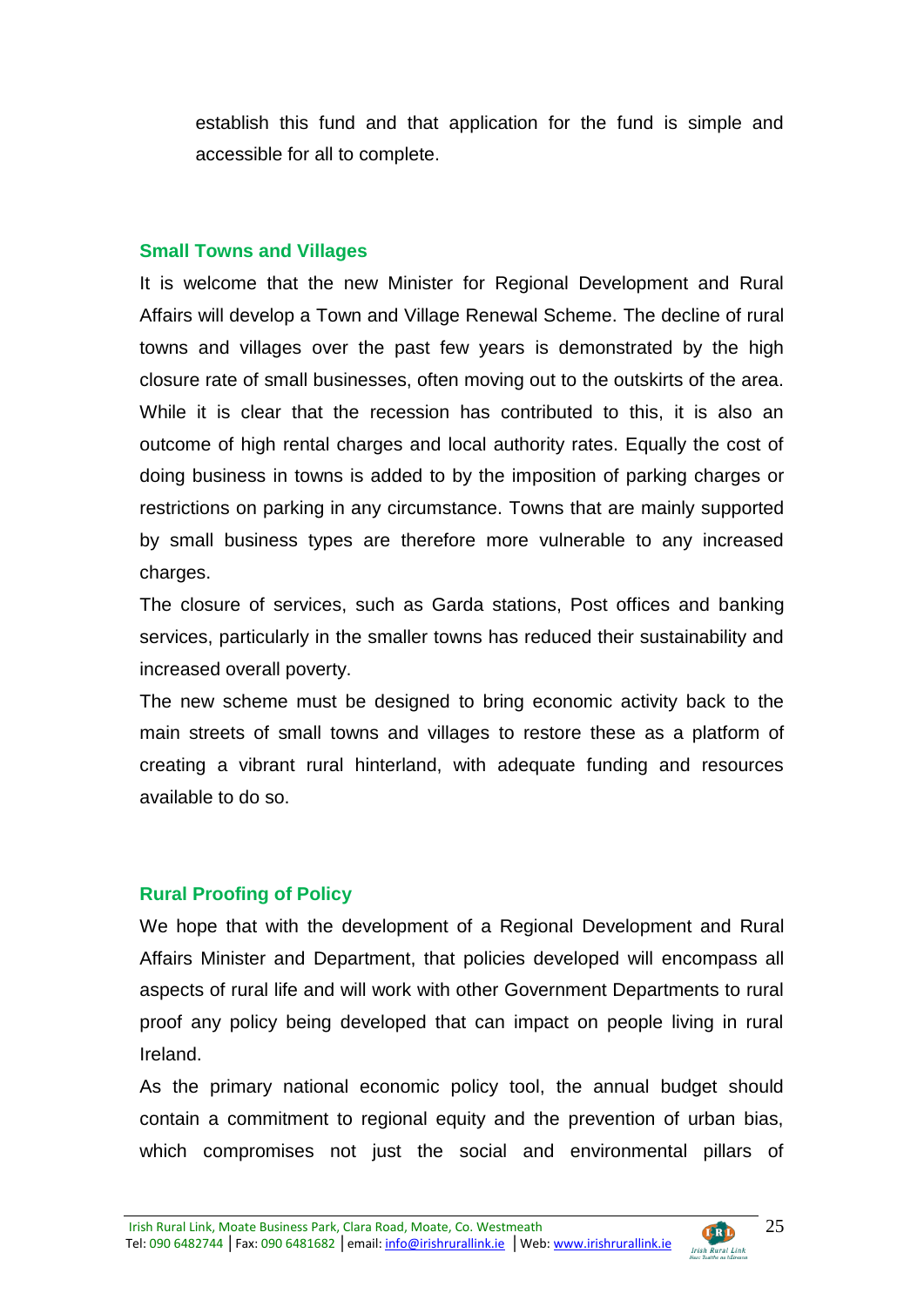establish this fund and that application for the fund is simple and accessible for all to complete.

#### **Small Towns and Villages**

It is welcome that the new Minister for Regional Development and Rural Affairs will develop a Town and Village Renewal Scheme. The decline of rural towns and villages over the past few years is demonstrated by the high closure rate of small businesses, often moving out to the outskirts of the area. While it is clear that the recession has contributed to this, it is also an outcome of high rental charges and local authority rates. Equally the cost of doing business in towns is added to by the imposition of parking charges or restrictions on parking in any circumstance. Towns that are mainly supported by small business types are therefore more vulnerable to any increased charges.

The closure of services, such as Garda stations, Post offices and banking services, particularly in the smaller towns has reduced their sustainability and increased overall poverty.

The new scheme must be designed to bring economic activity back to the main streets of small towns and villages to restore these as a platform of creating a vibrant rural hinterland, with adequate funding and resources available to do so.

# **Rural Proofing of Policy**

We hope that with the development of a Regional Development and Rural Affairs Minister and Department, that policies developed will encompass all aspects of rural life and will work with other Government Departments to rural proof any policy being developed that can impact on people living in rural Ireland.

As the primary national economic policy tool, the annual budget should contain a commitment to regional equity and the prevention of urban bias, which compromises not just the social and environmental pillars of

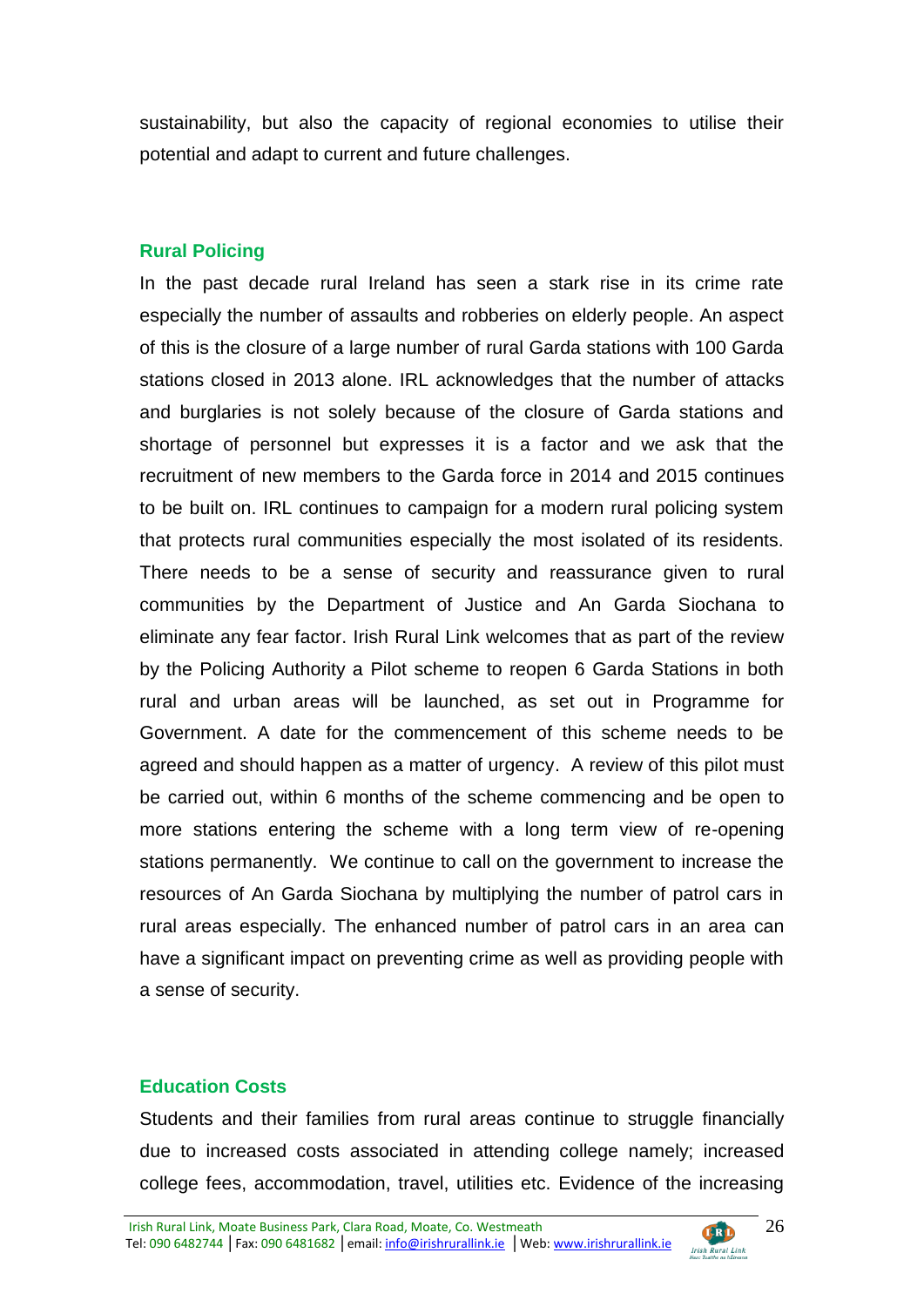sustainability, but also the capacity of regional economies to utilise their potential and adapt to current and future challenges.

#### **Rural Policing**

In the past decade rural Ireland has seen a stark rise in its crime rate especially the number of assaults and robberies on elderly people. An aspect of this is the closure of a large number of rural Garda stations with 100 Garda stations closed in 2013 alone. IRL acknowledges that the number of attacks and burglaries is not solely because of the closure of Garda stations and shortage of personnel but expresses it is a factor and we ask that the recruitment of new members to the Garda force in 2014 and 2015 continues to be built on. IRL continues to campaign for a modern rural policing system that protects rural communities especially the most isolated of its residents. There needs to be a sense of security and reassurance given to rural communities by the Department of Justice and An Garda Siochana to eliminate any fear factor. Irish Rural Link welcomes that as part of the review by the Policing Authority a Pilot scheme to reopen 6 Garda Stations in both rural and urban areas will be launched, as set out in Programme for Government. A date for the commencement of this scheme needs to be agreed and should happen as a matter of urgency. A review of this pilot must be carried out, within 6 months of the scheme commencing and be open to more stations entering the scheme with a long term view of re-opening stations permanently. We continue to call on the government to increase the resources of An Garda Siochana by multiplying the number of patrol cars in rural areas especially. The enhanced number of patrol cars in an area can have a significant impact on preventing crime as well as providing people with a sense of security.

#### **Education Costs**

Students and their families from rural areas continue to struggle financially due to increased costs associated in attending college namely; increased college fees, accommodation, travel, utilities etc. Evidence of the increasing

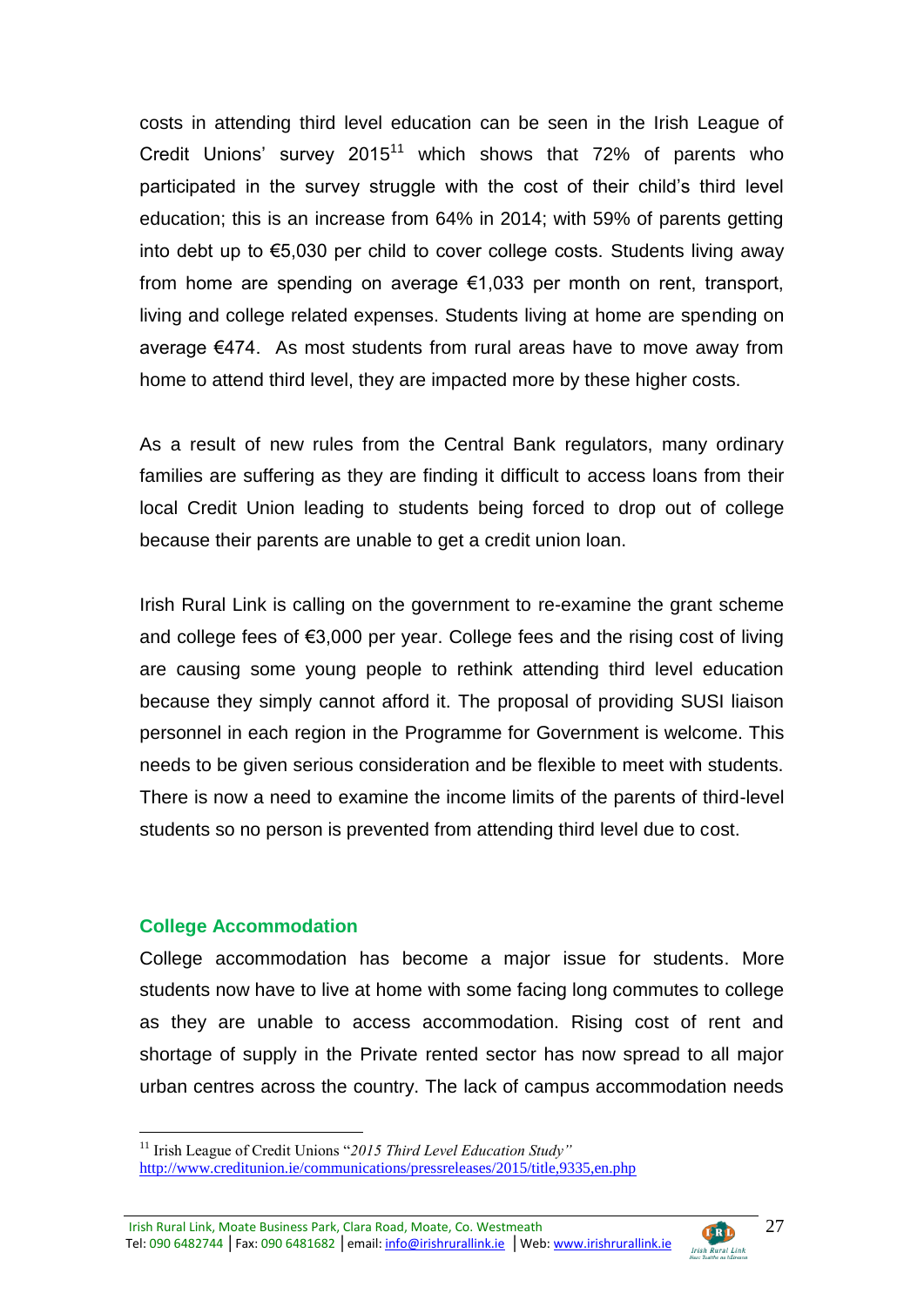costs in attending third level education can be seen in the Irish League of Credit Unions' survey 2015<sup>11</sup> which shows that 72% of parents who participated in the survey struggle with the cost of their child's third level education; this is an increase from 64% in 2014; with 59% of parents getting into debt up to €5,030 per child to cover college costs. Students living away from home are spending on average €1,033 per month on rent, transport, living and college related expenses. Students living at home are spending on average €474. As most students from rural areas have to move away from home to attend third level, they are impacted more by these higher costs.

As a result of new rules from the Central Bank regulators, many ordinary families are suffering as they are finding it difficult to access loans from their local Credit Union leading to students being forced to drop out of college because their parents are unable to get a credit union loan.

Irish Rural Link is calling on the government to re-examine the grant scheme and college fees of €3,000 per year. College fees and the rising cost of living are causing some young people to rethink attending third level education because they simply cannot afford it. The proposal of providing SUSI liaison personnel in each region in the Programme for Government is welcome. This needs to be given serious consideration and be flexible to meet with students. There is now a need to examine the income limits of the parents of third-level students so no person is prevented from attending third level due to cost.

#### **College Accommodation**

<u>.</u>

College accommodation has become a major issue for students. More students now have to live at home with some facing long commutes to college as they are unable to access accommodation. Rising cost of rent and shortage of supply in the Private rented sector has now spread to all major urban centres across the country. The lack of campus accommodation needs

Irish Rural Link, Moate Business Park, Clara Road, Moate, Co. Westmeath **CERD** Tel: 090 6482744 | Fax: 090 6481682 | email: info@irishrurallink.ie | Web: www.irishrurallink.ie Irish Rural Link



<sup>11</sup> Irish League of Credit Unions "*2015 Third Level Education Study"* <http://www.creditunion.ie/communications/pressreleases/2015/title,9335,en.php>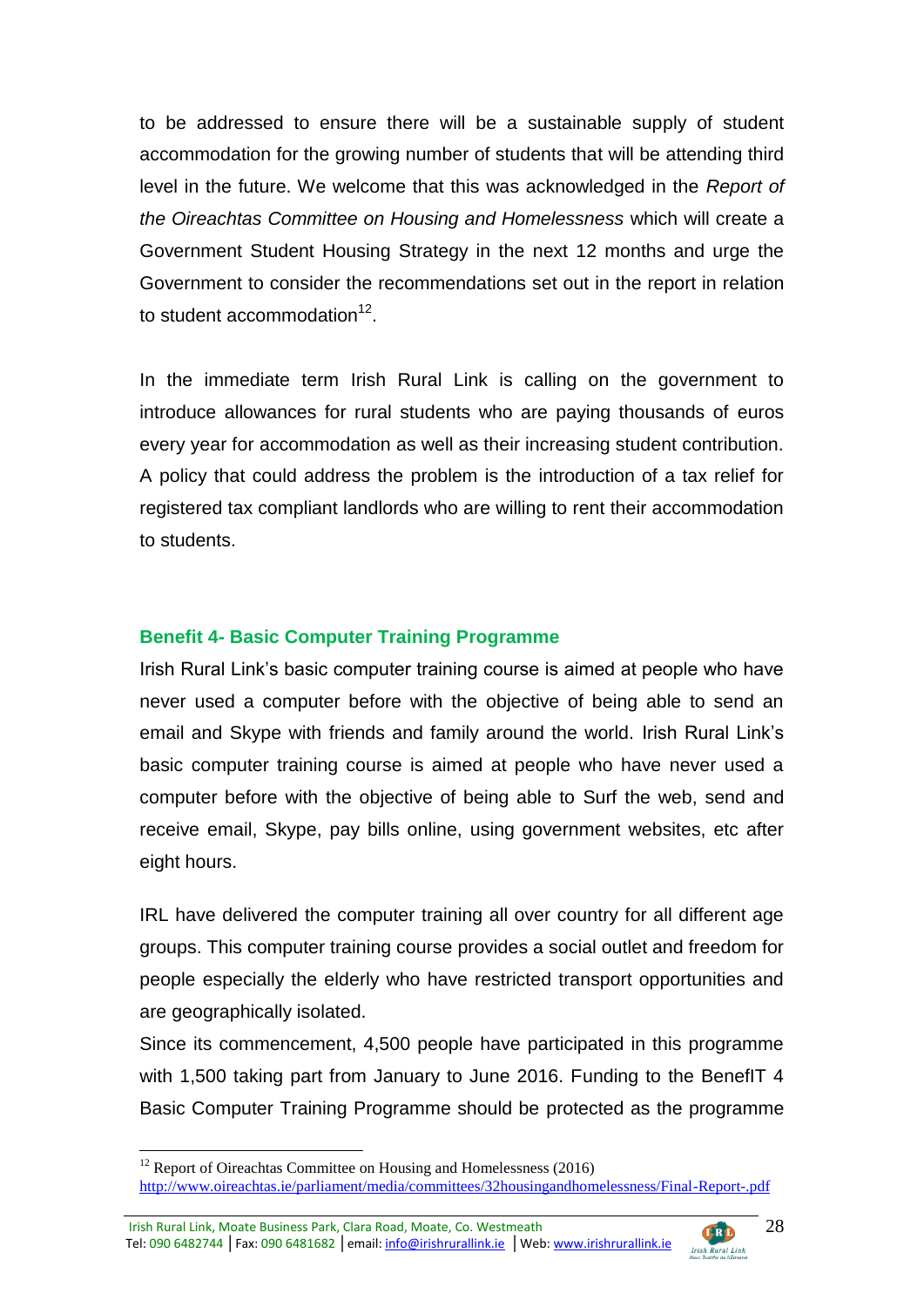to be addressed to ensure there will be a sustainable supply of student accommodation for the growing number of students that will be attending third level in the future. We welcome that this was acknowledged in the *Report of the Oireachtas Committee on Housing and Homelessness* which will create a Government Student Housing Strategy in the next 12 months and urge the Government to consider the recommendations set out in the report in relation to student accommodation $12$ .

In the immediate term Irish Rural Link is calling on the government to introduce allowances for rural students who are paying thousands of euros every year for accommodation as well as their increasing student contribution. A policy that could address the problem is the introduction of a tax relief for registered tax compliant landlords who are willing to rent their accommodation to students.

# **Benefit 4- Basic Computer Training Programme**

Irish Rural Link's basic computer training course is aimed at people who have never used a computer before with the objective of being able to send an email and Skype with friends and family around the world. Irish Rural Link's basic computer training course is aimed at people who have never used a computer before with the objective of being able to Surf the web, send and receive email, Skype, pay bills online, using government websites, etc after eight hours.

IRL have delivered the computer training all over country for all different age groups. This computer training course provides a social outlet and freedom for people especially the elderly who have restricted transport opportunities and are geographically isolated.

Since its commencement, 4,500 people have participated in this programme with 1,500 taking part from January to June 2016. Funding to the BenefIT 4 Basic Computer Training Programme should be protected as the programme

Irish Rural Link, Moate Business Park, Clara Road, Moate, Co. Westmeath CEO Tel: 090 6482744 | Fax: 090 6481682 | email: info@irishrurallink.ie | Web: www.irishrurallink.ie Irish Rural Link



 $12$  Report of Oireachtas Committee on Housing and Homelessness (2016) <http://www.oireachtas.ie/parliament/media/committees/32housingandhomelessness/Final-Report-.pdf>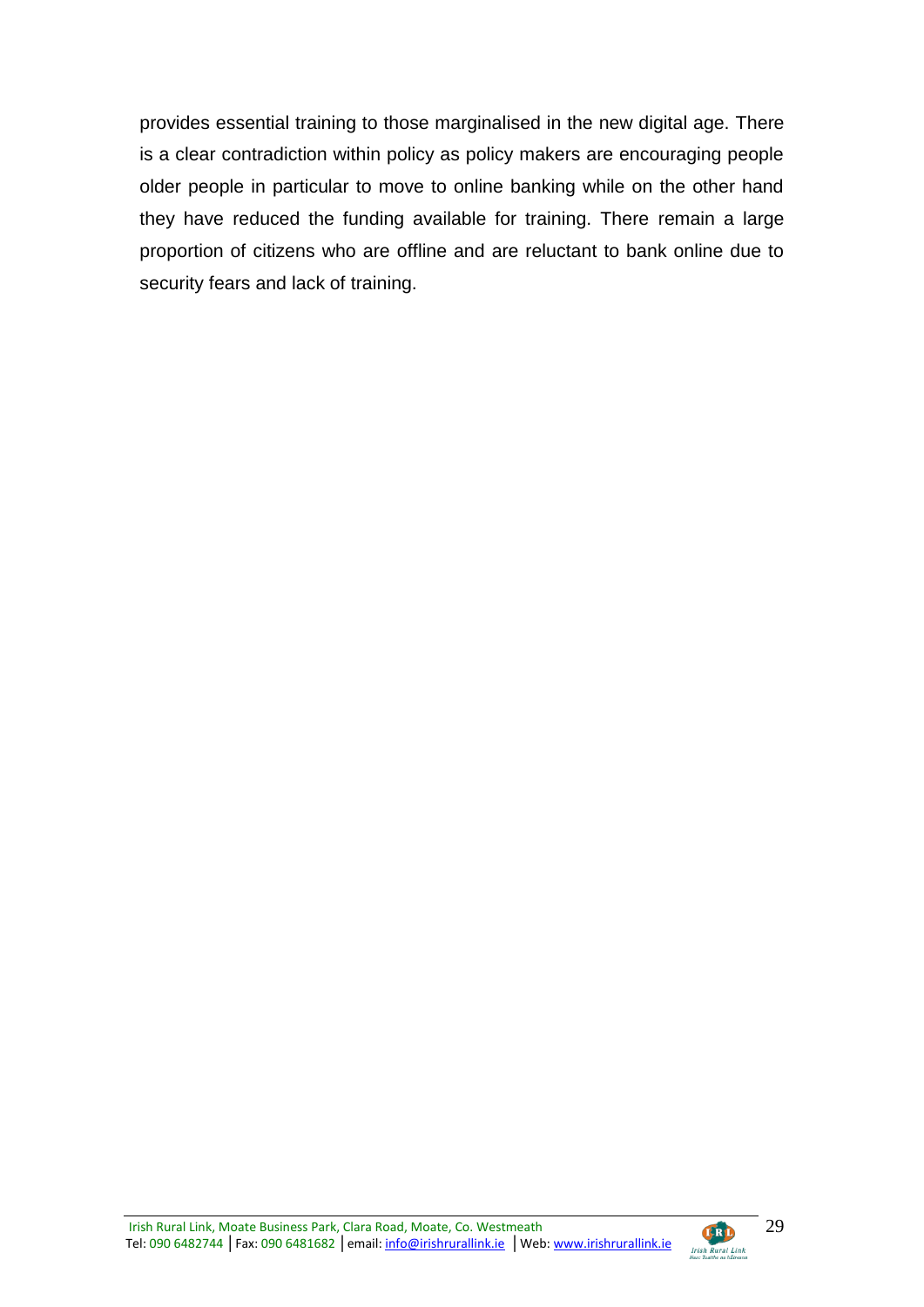provides essential training to those marginalised in the new digital age. There is a clear contradiction within policy as policy makers are encouraging people older people in particular to move to online banking while on the other hand they have reduced the funding available for training. There remain a large proportion of citizens who are offline and are reluctant to bank online due to security fears and lack of training.

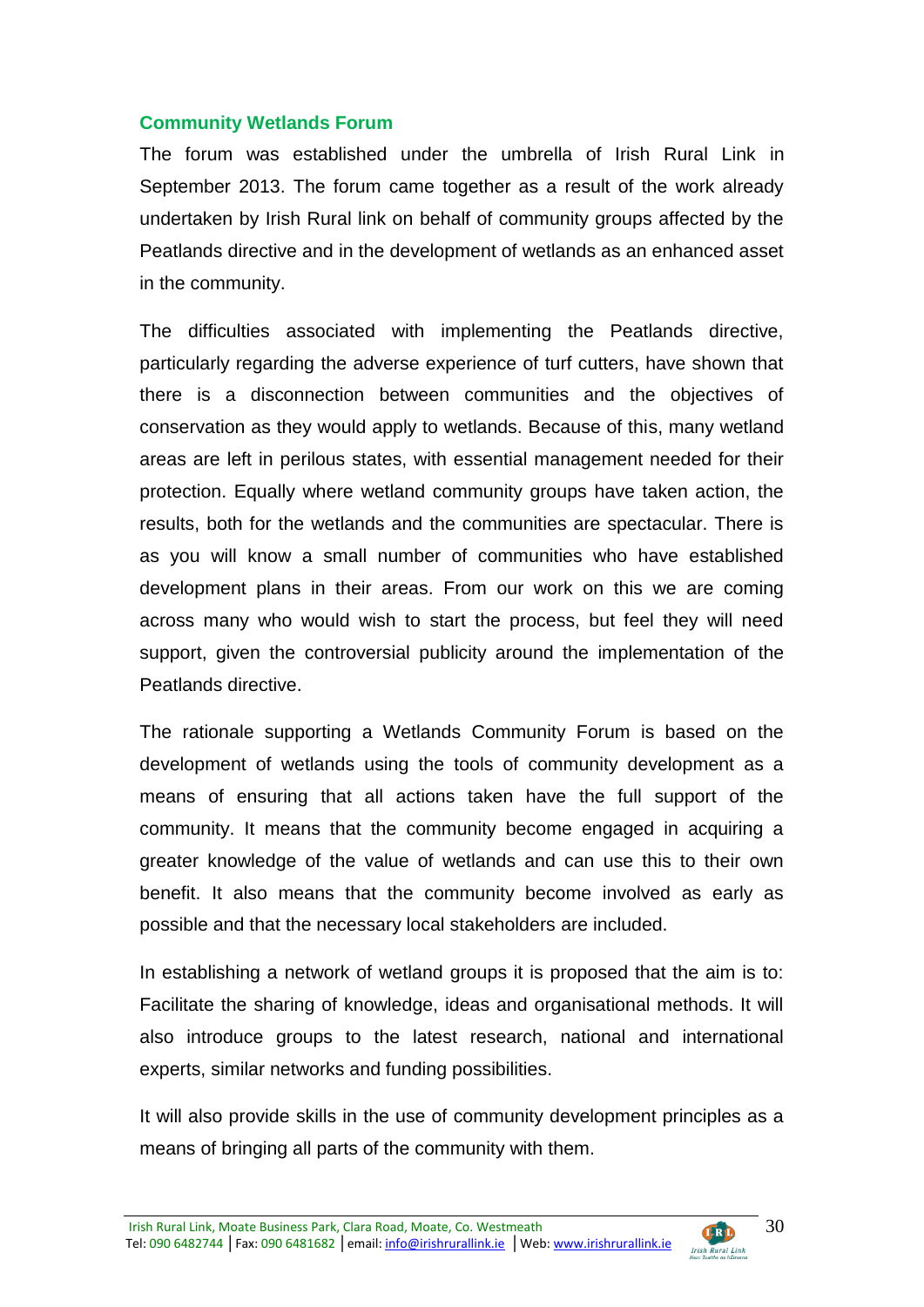#### **Community Wetlands Forum**

The forum was established under the umbrella of Irish Rural Link in September 2013. The forum came together as a result of the work already undertaken by Irish Rural link on behalf of community groups affected by the Peatlands directive and in the development of wetlands as an enhanced asset in the community.

The difficulties associated with implementing the Peatlands directive, particularly regarding the adverse experience of turf cutters, have shown that there is a disconnection between communities and the objectives of conservation as they would apply to wetlands. Because of this, many wetland areas are left in perilous states, with essential management needed for their protection. Equally where wetland community groups have taken action, the results, both for the wetlands and the communities are spectacular. There is as you will know a small number of communities who have established development plans in their areas. From our work on this we are coming across many who would wish to start the process, but feel they will need support, given the controversial publicity around the implementation of the Peatlands directive.

The rationale supporting a Wetlands Community Forum is based on the development of wetlands using the tools of community development as a means of ensuring that all actions taken have the full support of the community. It means that the community become engaged in acquiring a greater knowledge of the value of wetlands and can use this to their own benefit. It also means that the community become involved as early as possible and that the necessary local stakeholders are included.

In establishing a network of wetland groups it is proposed that the aim is to: Facilitate the sharing of knowledge, ideas and organisational methods. It will also introduce groups to the latest research, national and international experts, similar networks and funding possibilities.

It will also provide skills in the use of community development principles as a means of bringing all parts of the community with them.

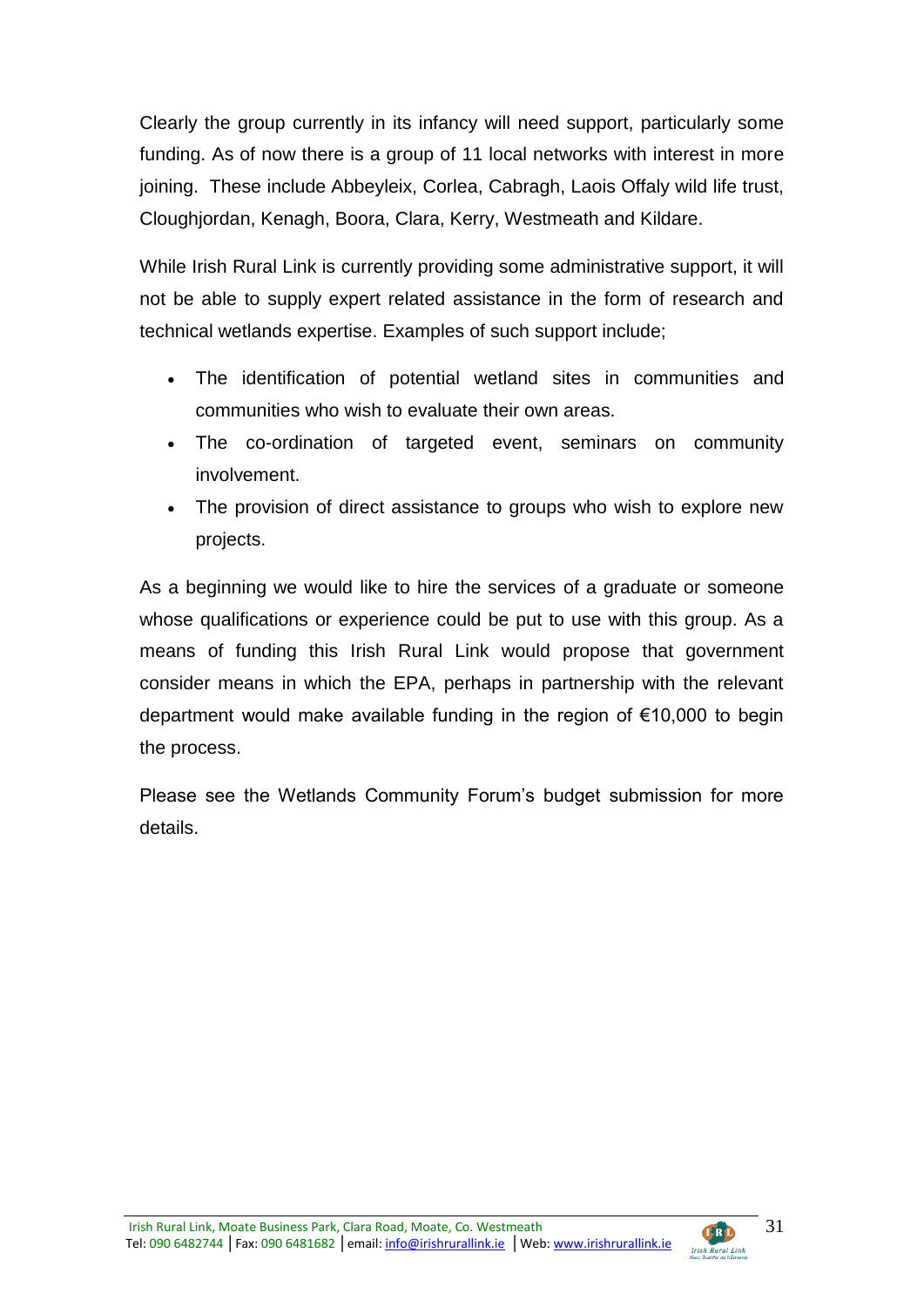Clearly the group currently in its infancy will need support, particularly some funding. As of now there is a group of 11 local networks with interest in more joining. These include Abbeyleix, Corlea, Cabragh, Laois Offaly wild life trust, Cloughjordan, Kenagh, Boora, Clara, Kerry, Westmeath and Kildare.

While Irish Rural Link is currently providing some administrative support, it will not be able to supply expert related assistance in the form of research and technical wetlands expertise. Examples of such support include;

- The identification of potential wetland sites in communities and communities who wish to evaluate their own areas.
- The co-ordination of targeted event, seminars on community involvement.
- The provision of direct assistance to groups who wish to explore new projects.

As a beginning we would like to hire the services of a graduate or someone whose qualifications or experience could be put to use with this group. As a means of funding this Irish Rural Link would propose that government consider means in which the EPA, perhaps in partnership with the relevant department would make available funding in the region of €10,000 to begin the process.

Please see the Wetlands Community Forum's budget submission for more details.

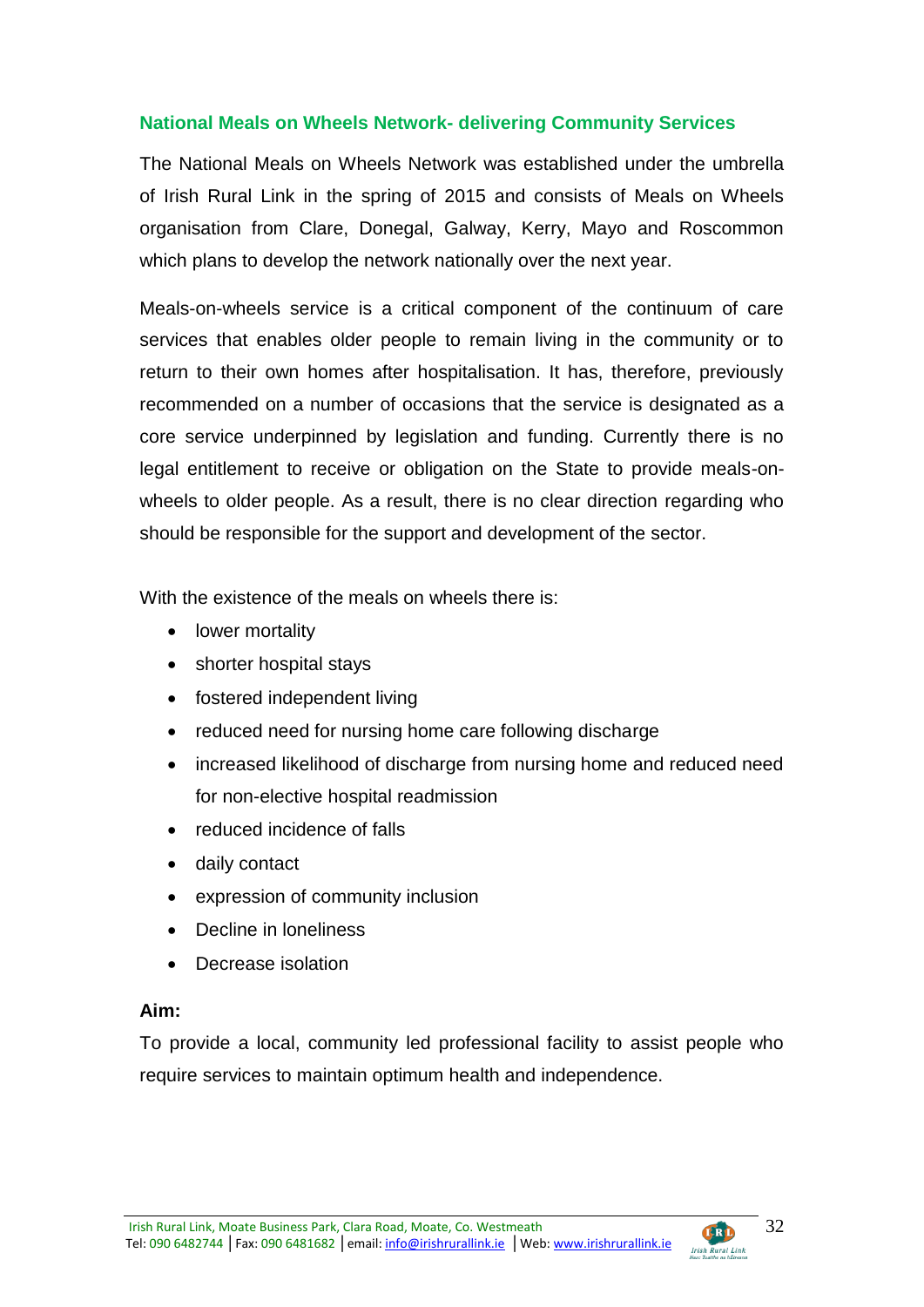# **National Meals on Wheels Network- delivering Community Services**

The National Meals on Wheels Network was established under the umbrella of Irish Rural Link in the spring of 2015 and consists of Meals on Wheels organisation from Clare, Donegal, Galway, Kerry, Mayo and Roscommon which plans to develop the network nationally over the next year.

Meals-on-wheels service is a critical component of the continuum of care services that enables older people to remain living in the community or to return to their own homes after hospitalisation. It has, therefore, previously recommended on a number of occasions that the service is designated as a core service underpinned by legislation and funding. Currently there is no legal entitlement to receive or obligation on the State to provide meals-onwheels to older people. As a result, there is no clear direction regarding who should be responsible for the support and development of the sector.

With the existence of the meals on wheels there is:

- lower mortality
- shorter hospital stays
- fostered independent living
- reduced need for nursing home care following discharge
- increased likelihood of discharge from nursing home and reduced need for non-elective hospital readmission
- reduced incidence of falls
- daily contact
- expression of community inclusion
- Decline in loneliness
- Decrease isolation

# **Aim:**

To provide a local, community led professional facility to assist people who require services to maintain optimum health and independence.

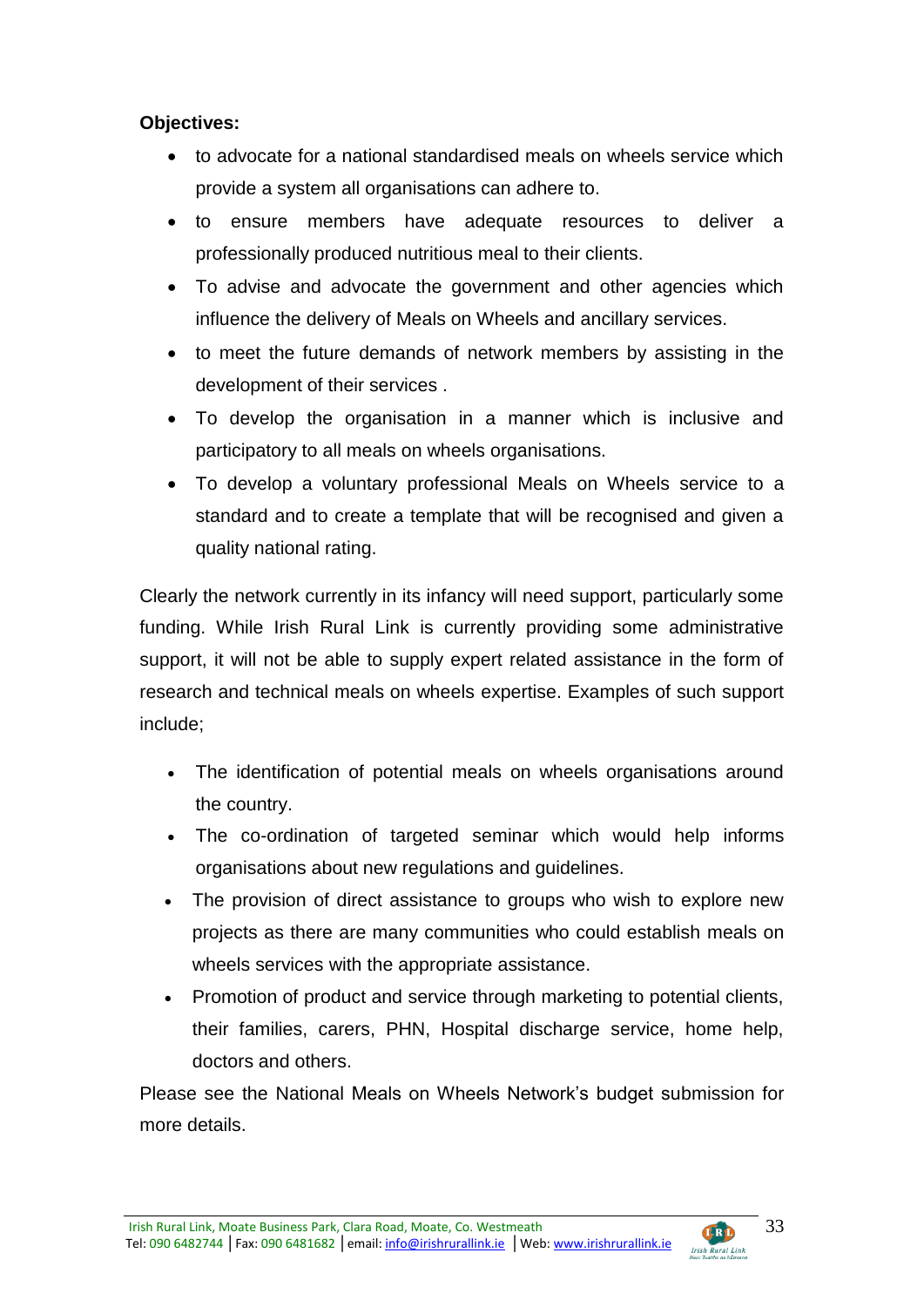# **Objectives:**

- to advocate for a national standardised meals on wheels service which provide a system all organisations can adhere to.
- to ensure members have adequate resources to deliver a professionally produced nutritious meal to their clients.
- To advise and advocate the government and other agencies which influence the delivery of Meals on Wheels and ancillary services.
- to meet the future demands of network members by assisting in the development of their services .
- To develop the organisation in a manner which is inclusive and participatory to all meals on wheels organisations.
- To develop a voluntary professional Meals on Wheels service to a standard and to create a template that will be recognised and given a quality national rating.

Clearly the network currently in its infancy will need support, particularly some funding. While Irish Rural Link is currently providing some administrative support, it will not be able to supply expert related assistance in the form of research and technical meals on wheels expertise. Examples of such support include;

- The identification of potential meals on wheels organisations around the country.
- The co-ordination of targeted seminar which would help informs organisations about new regulations and guidelines.
- The provision of direct assistance to groups who wish to explore new projects as there are many communities who could establish meals on wheels services with the appropriate assistance.
- Promotion of product and service through marketing to potential clients, their families, carers, PHN, Hospital discharge service, home help, doctors and others.

Please see the National Meals on Wheels Network's budget submission for more details.